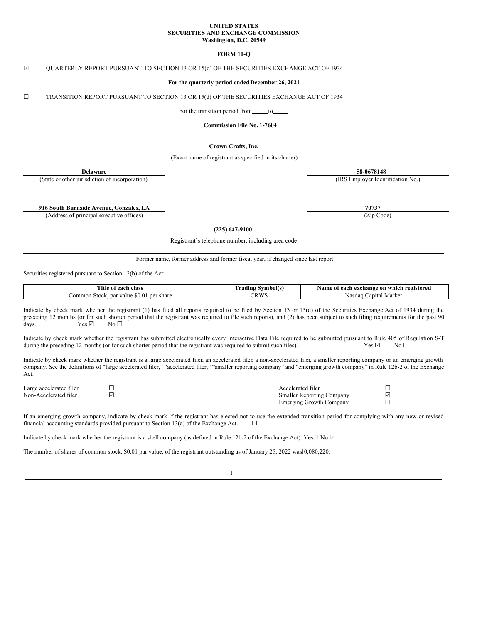# **UNITED STATES SECURITIES AND EXCHANGE COMMISSION Washington, D.C. 20549**

# **FORM 10-Q**

# ☑ QUARTERLY REPORT PURSUANT TO SECTION 13 OR 15(d) OF THE SECURITIES EXCHANGE ACT OF 1934

# **For the quarterly period endedDecember 26, 2021**

### ☐ TRANSITION REPORT PURSUANT TO SECTION 13 OR 15(d) OF THE SECURITIES EXCHANGE ACT OF 1934

For the transition period from \_\_\_\_\_\_ to

**Commission File No. 1-7604**

**Crown Crafts, Inc.**

(Exact name of registrant as specified in its charter)

(State or other jurisdiction of incorporation) (IRS Employer Identification No.)

**916 South Burnside Avenue, Gonzales, LA 70737** (Address of principal executive offices) (Zip Code)

**(225) 647-9100**

Registrant's telephone number, including area code

Former name, former address and former fiscal year, if changed since last report

Securities registered pursuant to Section 12(b) of the Act:

| $\sim$<br>. itle<br>class<br>each<br>0t                                           | Symbol(s)<br>rading | on<br>registered<br>e of each exchange<br>which<br>Name |
|-----------------------------------------------------------------------------------|---------------------|---------------------------------------------------------|
| Common<br>per<br>$\mathbf{m}$ e $\mathbf{v}$ .<br>share<br>par<br>value<br>Stock. | $CD$ W/S<br>. vv.   | Capital Market<br>Nasdao                                |

Indicate by check mark whether the registrant (1) has filed all reports required to be filed by Section 13 or 15(d) of the Securities Exchange Act of 1934 during the preceding 12 months (or for such shorter period that the registrant was required to file such reports), and (2) has been subject to such filing requirements for the past 90 days. days. Yes ☑

Indicate by check mark whether the registrant has submitted electronically every Interactive Data File required to be submitted pursuant to Rule 405 of Regulation S-T during the preceding 12 months (or for such shorter pe during the preceding 12 months (or for such shorter period that the registrant was required to submit such files).

Indicate by check mark whether the registrant is a large accelerated filer, an accelerated filer, a non-accelerated filer, a smaller reporting company or an emerging growth company. See the definitions of "large accelerated filer," "accelerated filer," "smaller reporting company" and "emerging growth company" in Rule 12b-2 of the Exchange Act.

Large accelerated filer □<br>
Non-Accelerated filer □<br>
□<br>
□ Smaller Reporting Company ☑ ⊠<br>Emerging Growth Company □ Emerging Growth Company

If an emerging growth company, indicate by check mark if the registrant has elected not to use the extended transition period for complying with any new or revised financial accounting standards provided pursuant to Section 13(a) of the Exchange Act.  $\Box$ 

Indicate by check mark whether the registrant is a shell company (as defined in Rule 12b-2 of the Exchange Act). Yes☐ No ☑

The number of shares of common stock, \$0.01 par value, of the registrant outstanding as of January 25, 2022 was10,080,220.

1

**Delaware 58-0678148**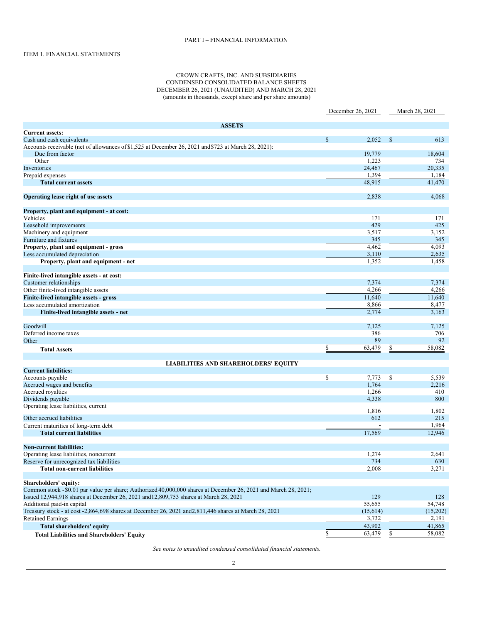# ITEM 1. FINANCIAL STATEMENTS

# CROWN CRAFTS, INC. AND SUBSIDIARIES CONDENSED CONSOLIDATED BALANCE SHEETS DECEMBER 26, 2021 (UNAUDITED) AND MARCH 28, 2021 (amounts in thousands, except share and per share amounts)

|                                                                                                                  |              | December 26, 2021 |              | March 28, 2021 |
|------------------------------------------------------------------------------------------------------------------|--------------|-------------------|--------------|----------------|
|                                                                                                                  |              |                   |              |                |
| <b>ASSETS</b>                                                                                                    |              |                   |              |                |
| <b>Current assets:</b>                                                                                           |              |                   |              |                |
| Cash and cash equivalents                                                                                        | $\mathbb{S}$ | 2,052             | $\mathbb{S}$ | 613            |
| Accounts receivable (net of allowances of \$1,525 at December 26, 2021 and \$723 at March 28, 2021):             |              |                   |              |                |
| Due from factor                                                                                                  |              | 19,779            |              | 18,604         |
| Other                                                                                                            |              | 1,223             |              | 734            |
| Inventories                                                                                                      |              | 24,467            |              | 20,335         |
| Prepaid expenses                                                                                                 |              | 1,394             |              | 1,184          |
| <b>Total current assets</b>                                                                                      |              | 48,915            |              | 41,470         |
|                                                                                                                  |              |                   |              |                |
| Operating lease right of use assets                                                                              |              | 2,838             |              | 4,068          |
|                                                                                                                  |              |                   |              |                |
| Property, plant and equipment - at cost:                                                                         |              |                   |              |                |
| Vehicles                                                                                                         |              | 171               |              | 171            |
| Leasehold improvements                                                                                           |              | 429               |              | 425            |
| Machinery and equipment                                                                                          |              | 3,517             |              | 3,152          |
| Furniture and fixtures                                                                                           |              | 345               |              | 345            |
| Property, plant and equipment - gross                                                                            |              | 4,462             |              | 4,093          |
| Less accumulated depreciation                                                                                    |              | 3,110             |              | 2,635          |
| Property, plant and equipment - net                                                                              |              | 1,352             |              | 1,458          |
|                                                                                                                  |              |                   |              |                |
| Finite-lived intangible assets - at cost:                                                                        |              |                   |              |                |
| Customer relationships                                                                                           |              | 7,374             |              | 7,374          |
| Other finite-lived intangible assets                                                                             |              | 4,266             |              | 4,266          |
| Finite-lived intangible assets - gross                                                                           |              | 11,640            |              | 11,640         |
| Less accumulated amortization                                                                                    |              | 8,866             |              | 8,477          |
| Finite-lived intangible assets - net                                                                             |              | 2,774             |              | 3,163          |
|                                                                                                                  |              |                   |              |                |
| Goodwill                                                                                                         |              | 7,125             |              | 7,125          |
| Deferred income taxes                                                                                            |              | 386               |              | 706            |
| Other                                                                                                            |              | 89                |              | 92             |
| <b>Total Assets</b>                                                                                              | \$           | 63,479            | S            | 58,082         |
|                                                                                                                  |              |                   |              |                |
| <b>LIABILITIES AND SHAREHOLDERS' EQUITY</b>                                                                      |              |                   |              |                |
| <b>Current liabilities:</b>                                                                                      |              |                   |              |                |
| Accounts payable                                                                                                 | \$           | 7,773             | S            | 5,539          |
| Accrued wages and benefits                                                                                       |              | 1,764             |              | 2,216          |
| Accrued royalties                                                                                                |              | 1,266             |              | 410            |
| Dividends payable                                                                                                |              | 4,338             |              | 800            |
| Operating lease liabilities, current                                                                             |              |                   |              |                |
|                                                                                                                  |              | 1,816             |              | 1,802          |
| Other accrued liabilities                                                                                        |              | 612               |              | 215            |
| Current maturities of long-term debt                                                                             |              |                   |              | 1,964          |
| <b>Total current liabilities</b>                                                                                 |              | 17,569            |              | 12,946         |
|                                                                                                                  |              |                   |              |                |
| <b>Non-current liabilities:</b>                                                                                  |              |                   |              |                |
| Operating lease liabilities, noncurrent                                                                          |              | 1,274             |              | 2,641          |
| Reserve for unrecognized tax liabilities                                                                         |              | 734               |              | 630            |
| <b>Total non-current liabilities</b>                                                                             |              | 2,008             |              | 3,271          |
|                                                                                                                  |              |                   |              |                |
| <b>Shareholders' equity:</b>                                                                                     |              |                   |              |                |
| Common stock - \$0.01 par value per share; Authorized 40,000,000 shares at December 26, 2021 and March 28, 2021; |              |                   |              |                |
| Issued 12,944,918 shares at December 26, 2021 and 12,809,753 shares at March 28, 2021                            |              | 129               |              | 128            |
| Additional paid-in capital                                                                                       |              | 55,655            |              | 54,748         |
| Treasury stock - at cost -2,864,698 shares at December 26, 2021 and 2,811,446 shares at March 28, 2021           |              | (15,614)          |              | (15,202)       |
| <b>Retained Earnings</b>                                                                                         |              | 3,732             |              | 2,191          |
| Total shareholders' equity                                                                                       |              | 43,902            |              | 41,865         |
| <b>Total Liabilities and Shareholders' Equity</b>                                                                | \$           | 63,479            | \$           | 58,082         |
|                                                                                                                  |              |                   |              |                |

*See notes to unaudited condensed consolidated financial statements.*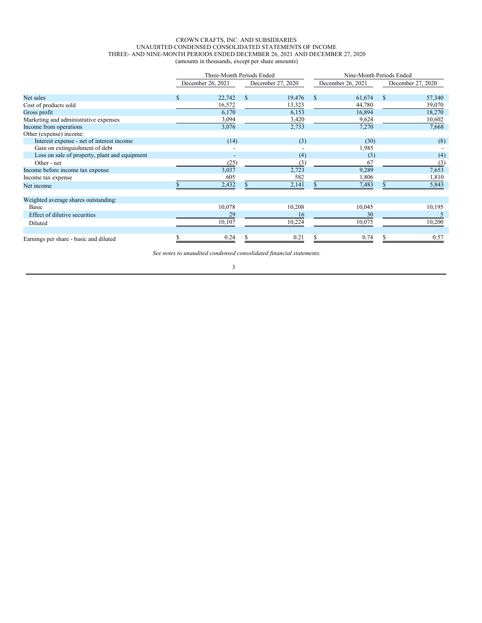## CROWN CRAFTS, INC. AND SUBSIDIARIES UNAUDITED CONDENSED CONSOLIDATED STATEMENTS OF INCOME THREE- AND NINE-MONTH PERIODS ENDED DECEMBER 26, 2021 AND DECEMBER 27, 2020 (amounts in thousands, except per share amounts)

|                                               | Three-Month Periods Ended |              |                   | Nine-Month Periods Ended |                   |               |                   |  |  |
|-----------------------------------------------|---------------------------|--------------|-------------------|--------------------------|-------------------|---------------|-------------------|--|--|
|                                               | December 26, 2021         |              | December 27, 2020 |                          | December 26, 2021 |               | December 27, 2020 |  |  |
| Net sales                                     | \$<br>22,742              | $\mathbb{S}$ | 19,476            | <sup>\$</sup>            | 61,674            | <sup>\$</sup> | 57,340            |  |  |
| Cost of products sold                         | 16,572                    |              | 13,323            |                          | 44,780            |               | 39,070            |  |  |
| Gross profit                                  | 6,170                     |              | 6,153             |                          | 16,894            |               | 18,270            |  |  |
| Marketing and administrative expenses         | 3,094                     |              | 3,420             |                          | 9,624             |               | 10,602            |  |  |
| Income from operations                        | 3,076                     |              | 2,733             |                          | 7,270             |               | 7,668             |  |  |
| Other (expense) income:                       |                           |              |                   |                          |                   |               |                   |  |  |
| Interest expense - net of interest income     | (14)                      |              | (3)               |                          | (30)              |               | (8)               |  |  |
| Gain on extinguishment of debt                |                           |              |                   |                          | 1,985             |               |                   |  |  |
| Loss on sale of property, plant and equipment | $\overline{\phantom{a}}$  |              | (4)               |                          | (3)               |               | (4)               |  |  |
| Other - net                                   | (25)                      |              | (3)               |                          | 67                |               | (3)               |  |  |
| Income before income tax expense              | 3,037                     |              | 2,723             |                          | 9,289             |               | 7,653             |  |  |
| Income tax expense                            | 605                       |              | 582               |                          | 1,806             |               | 1,810             |  |  |
| Net income                                    | 2,432                     |              | 2,141             |                          | 7,483             |               | 5,843             |  |  |
| Weighted average shares outstanding:          |                           |              |                   |                          |                   |               |                   |  |  |
| Basic                                         | 10,078                    |              | 10,208            |                          | 10,045            |               | 10,195            |  |  |
| Effect of dilutive securities                 | 29                        |              | 16                |                          | 30                |               |                   |  |  |
| Diluted                                       | 10,107                    |              | 10,224            |                          | 10,075            |               | 10,200            |  |  |
| Earnings per share - basic and diluted        | 0.24                      |              | 0.21              |                          | 0.74              |               | 0.57              |  |  |

*See notes to unaudited condensed consolidated financial statements.*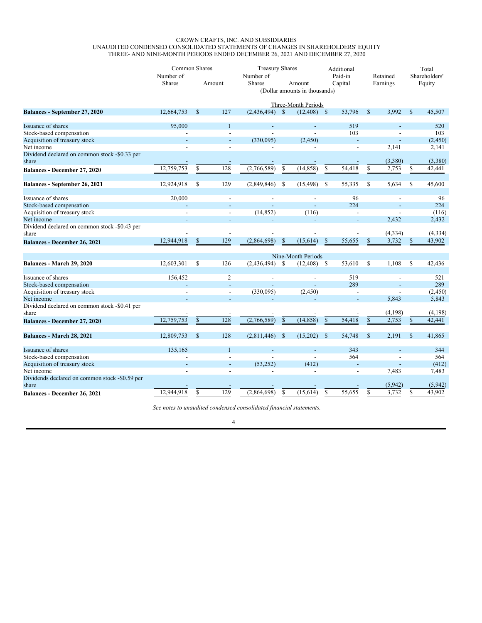#### CROWN CRAFTS, INC. AND SUBSIDIARIES UNAUDITED CONDENSED CONSOLIDATED STATEMENTS OF CHANGES IN SHAREHOLDERS' EQUITY THREE- AND NINE-MONTH PERIODS ENDED DECEMBER 26, 2021 AND DECEMBER 27, 2020

|                                                | <b>Common Shares</b>       |               |                | <b>Treasury Shares</b>     |                               |                     |              | Additional               |              |                      | Total |                         |
|------------------------------------------------|----------------------------|---------------|----------------|----------------------------|-------------------------------|---------------------|--------------|--------------------------|--------------|----------------------|-------|-------------------------|
|                                                | Number of<br><b>Shares</b> |               | Amount         | Number of<br><b>Shares</b> |                               | Amount              |              | Paid-in<br>Capital       |              | Retained<br>Earnings |       | Shareholders'<br>Equity |
|                                                |                            |               |                |                            | (Dollar amounts in thousands) |                     |              |                          |              |                      |       |                         |
|                                                |                            |               |                |                            |                               | Three-Month Periods |              |                          |              |                      |       |                         |
| <b>Balances - September 27, 2020</b>           | 12,664,753                 | <sup>\$</sup> | 127            | (2,436,494)                | $\mathbb{S}$                  | $(12,408)$ \$       |              | 53,796                   | S            | 3.992                | \$    | 45,507                  |
| Issuance of shares                             | 95,000                     |               | $\mathbf{1}$   |                            |                               |                     |              | 519                      |              |                      |       | 520                     |
| Stock-based compensation                       |                            |               |                |                            |                               |                     |              | 103                      |              |                      |       | 103                     |
| Acquisition of treasury stock                  |                            |               | L,             | (330,095)                  |                               | (2, 450)            |              |                          |              |                      |       | (2, 450)                |
| Net income                                     |                            |               |                |                            |                               |                     |              |                          |              | 2,141                |       | 2,141                   |
| Dividend declared on common stock -\$0.33 per  |                            |               |                |                            |                               |                     |              |                          |              |                      |       |                         |
| share                                          |                            |               |                |                            |                               |                     |              |                          |              | (3,380)              |       | (3,380)                 |
| <b>Balances - December 27, 2020</b>            | 12,759,753                 | \$            | 128            | (2,766,589)                | \$                            | (14, 858)           | \$           | 54,418                   | S            | 2,753                | \$    | 42,441                  |
| <b>Balances - September 26, 2021</b>           | 12,924,918                 | \$.           | 129            | (2,849,846)                | S                             | (15, 498)           | S            | 55.335                   | S            | 5.634                | S     | 45.600                  |
| Issuance of shares                             | 20,000                     |               | L.             |                            |                               | $\overline{a}$      |              | 96                       |              | $\overline{a}$       |       | 96                      |
| Stock-based compensation                       |                            |               |                |                            |                               | L.                  |              | 224                      |              |                      |       | 224                     |
| Acquisition of treasury stock                  | $\overline{a}$             |               | $\overline{a}$ | (14, 852)                  |                               | (116)               |              | $\overline{a}$           |              | $\overline{a}$       |       | (116)                   |
| Net income                                     |                            |               |                |                            |                               |                     |              |                          |              | 2.432                |       | 2,432                   |
|                                                |                            |               |                |                            |                               |                     |              |                          |              |                      |       |                         |
| Dividend declared on common stock -\$0.43 per  |                            |               |                |                            |                               |                     |              |                          |              |                      |       |                         |
| share                                          | 12,944,918                 |               | 129            |                            |                               | (15, 614)           |              | 55,655                   |              | (4, 334)             |       | (4, 334)                |
| <b>Balances - December 26, 2021</b>            |                            | \$            |                | (2,864,698)                | S                             |                     | $\mathbf{s}$ |                          | S            | 3,732                | S     | 43,902                  |
|                                                |                            |               |                |                            |                               | Nine-Month Periods  |              |                          |              |                      |       |                         |
| Balances - March 29, 2020                      | 12,603,301                 | <sup>\$</sup> | 126            | (2,436,494)                | <sup>S</sup>                  | (12, 408)           | -S           | 53,610                   | <sup>S</sup> | 1.108                | S     | 42,436                  |
|                                                |                            |               |                |                            |                               |                     |              |                          |              |                      |       |                         |
| Issuance of shares                             | 156,452                    |               | 2              |                            |                               | $\overline{a}$      |              | 519                      |              |                      |       | 521                     |
| Stock-based compensation                       |                            |               |                |                            |                               |                     |              | 289                      |              |                      |       | 289                     |
| Acquisition of treasury stock                  |                            |               | ÷,             | (330,095)                  |                               | (2, 450)            |              | $\overline{\phantom{a}}$ |              |                      |       | (2, 450)                |
| Net income                                     |                            |               |                |                            |                               |                     |              |                          |              | 5,843                |       | 5,843                   |
| Dividend declared on common stock -\$0.41 per  |                            |               |                |                            |                               |                     |              |                          |              |                      |       |                         |
| share                                          |                            |               |                |                            |                               |                     |              |                          |              | (4,198)              |       | (4,198)                 |
| <b>Balances - December 27, 2020</b>            | 12,759,753                 | \$            | 128            | (2,766,589)                | $\mathbb S$                   | (14, 858)           | $\mathbb{S}$ | 54,418                   | $\mathbb{S}$ | 2,753                | \$    | 42,441                  |
| Balances - March 28, 2021                      | 12,809,753                 | <sup>\$</sup> | 128            | (2,811,446)                | $\mathbb{S}$                  | (15,202)            | $\mathbb{S}$ | 54,748                   | $\mathbf S$  | 2,191                | \$    | 41,865                  |
|                                                |                            |               |                |                            |                               |                     |              |                          |              |                      |       |                         |
| Issuance of shares                             | 135,165                    |               | 1              |                            |                               | L,                  |              | 343                      |              |                      |       | 344                     |
| Stock-based compensation                       |                            |               |                |                            |                               | L.                  |              | 564                      |              | $\overline{a}$       |       | 564                     |
| Acquisition of treasury stock                  |                            |               | ÷              | (53,252)                   |                               | (412)               |              |                          |              |                      |       | (412)                   |
| Net income                                     |                            |               |                |                            |                               |                     |              |                          |              | 7,483                |       | 7,483                   |
| Dividends declared on common stock -\$0.59 per |                            |               |                |                            |                               |                     |              |                          |              |                      |       |                         |
| share                                          |                            |               |                |                            |                               |                     |              |                          |              | (5,942)              |       | (5,942)                 |
| <b>Balances - December 26, 2021</b>            | 12,944,918                 |               | 129            | (2,864,698)                | \$                            | (15,614)            | \$           | 55,655                   | S            | 3,732                | \$    | 43,902                  |

*See notes to unaudited condensed consolidated financial statements.*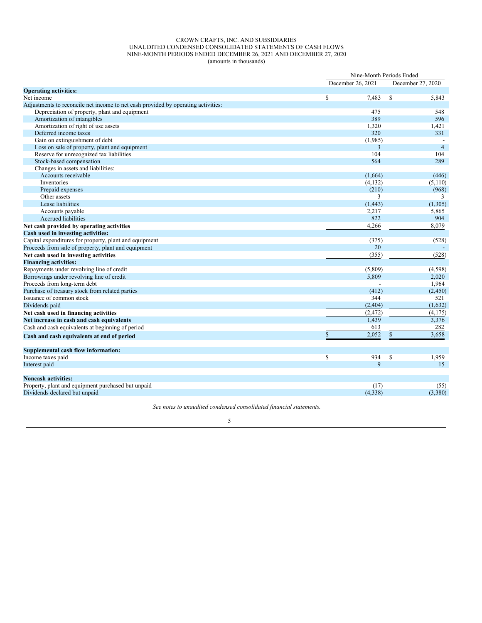# CROWN CRAFTS, INC. AND SUBSIDIARIES UNAUDITED CONDENSED CONSOLIDATED STATEMENTS OF CASH FLOWS NINE-MONTH PERIODS ENDED DECEMBER 26, 2021 AND DECEMBER 27, 2020 (amounts in thousands)

|                                                                                   |              | Nine-Month Periods Ended |                   |                |  |  |  |  |
|-----------------------------------------------------------------------------------|--------------|--------------------------|-------------------|----------------|--|--|--|--|
|                                                                                   |              | December 26, 2021        | December 27, 2020 |                |  |  |  |  |
| <b>Operating activities:</b>                                                      |              |                          |                   |                |  |  |  |  |
| Net income                                                                        | \$           | 7,483                    | <sup>\$</sup>     | 5,843          |  |  |  |  |
| Adjustments to reconcile net income to net cash provided by operating activities: |              |                          |                   |                |  |  |  |  |
| Depreciation of property, plant and equipment                                     |              | 475                      |                   | 548            |  |  |  |  |
| Amortization of intangibles                                                       |              | 389                      |                   | 596            |  |  |  |  |
| Amortization of right of use assets                                               |              | 1,320                    |                   | 1,421          |  |  |  |  |
| Deferred income taxes                                                             |              | 320                      |                   | 331            |  |  |  |  |
| Gain on extinguishment of debt                                                    |              | (1,985)                  |                   |                |  |  |  |  |
| Loss on sale of property, plant and equipment                                     |              | 3                        |                   | $\overline{4}$ |  |  |  |  |
| Reserve for unrecognized tax liabilities                                          |              | 104                      |                   | 104            |  |  |  |  |
| Stock-based compensation                                                          |              | 564                      |                   | 289            |  |  |  |  |
| Changes in assets and liabilities:                                                |              |                          |                   |                |  |  |  |  |
| Accounts receivable                                                               |              | (1,664)                  |                   | (446)          |  |  |  |  |
| Inventories                                                                       |              | (4,132)                  |                   | (5,110)        |  |  |  |  |
| Prepaid expenses                                                                  |              | (210)                    |                   | (968)          |  |  |  |  |
| Other assets                                                                      |              | 3                        |                   | 3              |  |  |  |  |
| Lease liabilities                                                                 |              | (1, 443)                 |                   | (1,305)        |  |  |  |  |
| Accounts payable                                                                  |              | 2,217                    |                   | 5,865          |  |  |  |  |
| <b>Accrued</b> liabilities                                                        |              | 822                      |                   | 904            |  |  |  |  |
| Net cash provided by operating activities                                         |              | 4.266                    |                   | 8,079          |  |  |  |  |
| Cash used in investing activities:                                                |              |                          |                   |                |  |  |  |  |
| Capital expenditures for property, plant and equipment                            |              | (375)                    |                   | (528)          |  |  |  |  |
| Proceeds from sale of property, plant and equipment                               |              | 20                       |                   |                |  |  |  |  |
| Net cash used in investing activities                                             |              | (355)                    |                   | (528)          |  |  |  |  |
| <b>Financing activities:</b>                                                      |              |                          |                   |                |  |  |  |  |
| Repayments under revolving line of credit                                         |              | (5,809)                  |                   | (4,598)        |  |  |  |  |
| Borrowings under revolving line of credit                                         |              | 5,809                    |                   | 2,020          |  |  |  |  |
| Proceeds from long-term debt                                                      |              |                          |                   | 1,964          |  |  |  |  |
| Purchase of treasury stock from related parties                                   |              | (412)                    |                   | (2,450)        |  |  |  |  |
| Issuance of common stock                                                          |              | 344                      |                   | 521            |  |  |  |  |
| Dividends paid                                                                    |              | (2, 404)                 |                   | (1,632)        |  |  |  |  |
| Net cash used in financing activities                                             |              | (2, 472)                 |                   | (4, 175)       |  |  |  |  |
| Net increase in cash and cash equivalents                                         |              | 1,439                    |                   | 3,376          |  |  |  |  |
| Cash and cash equivalents at beginning of period                                  |              | 613                      |                   | 282            |  |  |  |  |
|                                                                                   | $\mathbf{s}$ | 2,052                    | <b>S</b>          | 3,658          |  |  |  |  |
| Cash and cash equivalents at end of period                                        |              |                          |                   |                |  |  |  |  |
| <b>Supplemental cash flow information:</b>                                        |              |                          |                   |                |  |  |  |  |
| Income taxes paid                                                                 | \$           | 934                      | S                 | 1,959          |  |  |  |  |
| Interest paid                                                                     |              | 9                        |                   | 15             |  |  |  |  |
| <b>Noncash activities:</b>                                                        |              |                          |                   |                |  |  |  |  |
| Property, plant and equipment purchased but unpaid                                |              | (17)                     |                   | (55)           |  |  |  |  |
| Dividends declared but unpaid                                                     |              | (4,338)                  |                   | (3,380)        |  |  |  |  |

*See notes to unaudited condensed consolidated financial statements.*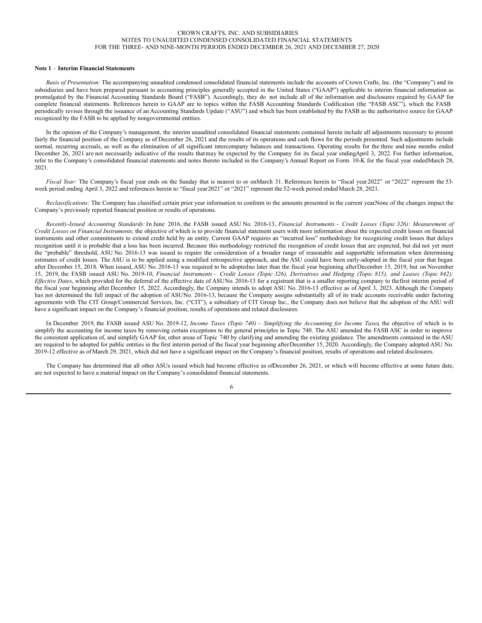## CROWN CRAFTS, INC. AND SUBSIDIARIES NOTES TO UNAUDITED CONDENSED CONSOLIDATED FINANCIAL STATEMENTS FOR THE THREE- AND NINE-MONTH PERIODS ENDED DECEMBER 26, 2021 AND DECEMBER 27, 2020

## **Note 1** – **Interim Financial Statements**

*Basis of Presentation:* The accompanying unaudited condensed consolidated financial statements include the accounts of Crown Crafts, Inc. (the "Company") and its subsidiaries and have been prepared pursuant to accounting principles generally accepted in the United States ("GAAP") applicable to interim financial information as promulgated by the Financial Accounting Standards Board ("FASB"). Accordingly, they do not include all of the information and disclosures required by GAAP for complete financial statements. References herein to GAAP are to topics within the FASB Accounting Standards Codification (the "FASB ASC"), which the FASB periodically revises through the issuance of an Accounting Standards Update ("ASU") and which has been established by the FASB as the authoritative source for GAAP recognized by the FASB to be applied by nongovernmental entities.

In the opinion of the Company's management, the interim unaudited consolidated financial statements contained herein include all adjustments necessary to present fairly the financial position of the Company as of December 26, 2021 and the results of its operations and cash flows for the periods presented. Such adjustments include normal, recurring accruals, as well as the elimination of all significant intercompany balances and transactions. Operating results for the three and nine months ended December 26, 2021 are not necessarily indicative of the results thatmay be expected by the Company for its fiscal year endingApril 3, 2022. For further information, refer to the Company's consolidated financial statements and notes thereto included in the Company's Annual Report on Form 10-K for the fiscal year endedMarch 28, 2021.

*Fiscal Year:* The Company's fiscal year ends on the Sunday that is nearest to or onMarch 31. References herein to "fiscal year2022" or "2022" represent the 53week period ending April 3, 2022 and references herein to "fiscal year2021" or "2021" represent the 52-week period ended March 28, 2021.

*Reclassifications:* The Company has classified certain prior year information to conform to the amounts presented in the current year.None of the changes impact the Company's previously reported financial position or results of operations.

Recently-Issued Accounting Standards: In June 2016, the FASB issued ASU No. 2016-13, Financial Instruments - Credit Losses (Topic 326): Measurement of *Credit Losses on Financial Instruments,* the objective of which is to provide financial statement users with more information about the expected credit losses on financial instruments and other commitments to extend credit held by an entity. Current GAAP requires an "incurred loss" methodology for recognizing credit losses that delays recognition until it is probable that a loss has been incurred. Because this methodology restricted the recognition of credit losses that are expected, but did not yet meet the "probable" threshold, ASU No. 2016-13 was issued to require the consideration of a broader range of reasonable and supportable information when determining estimates of credit losses. The ASU is to be applied using a modified retrospective approach, and the ASU could have been early-adopted in the fiscal year that began after December 15, 2018. When issued, ASU No. 2016-13 was required to be adoptedno later than the fiscal year beginning afterDecember 15, 2019, but on November 15, 2019, the FASB issued ASU No. 2019-10, Financial Instruments - Credit Losses (Topic 326), Derivatives and Hedging (Topic 815), and Leases (Topic 842): *Ef ective Dates*, which provided for the deferral of the effective date of ASUNo. 2016-13 for a registrant that is a smaller reporting company to thefirst interim period of the fiscal year beginning after December 15, 2022. Accordingly, the Company intends to adopt ASU No. 2016-13 effective as of April 3, 2023. Although the Company has not determined the full impact of the adoption of ASUNo. 2016-13, because the Company assigns substantially all of its trade accounts receivable under factoring agreements with The CIT Group/Commercial Services, Inc. ("CIT"), a subsidiary of CIT Group Inc., the Company does not believe that the adoption of the ASU will have a significant impact on the Company's financial position, results of operations and related disclosures.

In December 2019, the FASB issued ASU No. 2019-12, *Income Taxes (Topic 740)* – *Simplifying the Accounting for Income Taxes*, the objective of which is to simplify the accounting for income taxes by removing certain exceptions to the general principles in Topic 740. The ASU amended the FASB ASC in order to improve the consistent application of, and simplify GAAP for, other areas of Topic 740 by clarifying and amending the existing guidance. The amendments contained in the ASU are required to be adopted for public entities in the first interim period of the fiscal year beginning afterDecember 15, 2020. Accordingly, the Company adopted ASU No. 2019-12 effective as of March 29, 2021, which did not have a significant impact on the Company's financial position, results of operations and related disclosures.

The Company has determined that all other ASUs issued which had become effective as ofDecember 26, 2021, or which will become effective at some future date, are not expected to have a material impact on the Company's consolidated financial statements.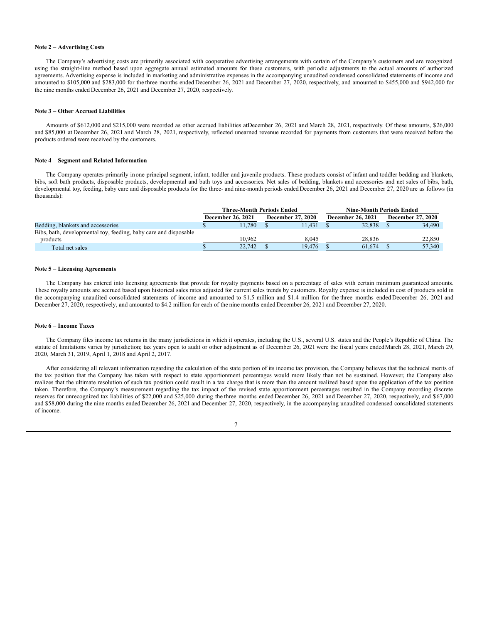# **Note 2** – **Advertising Costs**

The Company's advertising costs are primarily associated with cooperative advertising arrangements with certain of the Company's customers and are recognized using the straight-line method based upon aggregate annual estimated amounts for these customers, with periodic adjustments to the actual amounts of authorized agreements. Advertising expense is included in marketing and administrative expenses in the accompanying unaudited condensed consolidated statements of income and amounted to \$105,000 and \$283,000 for the three months ended December 26, 2021 and December 27, 2020, respectively, and amounted to \$455,000 and \$942,000 for the nine months ended December 26, 2021 and December 27, 2020, respectively.

#### **Note 3** – **Other Accrued Liabilities**

Amounts of \$612,000 and \$215,000 were recorded as other accrued liabilities atDecember 26, 2021 and March 28, 2021, respectively. Of these amounts, \$26,000 and \$85,000 at December 26, 2021 and March 28, 2021, respectively, reflected unearned revenue recorded for payments from customers that were received before the products ordered were received by the customers.

#### **Note 4** – **Segment and Related Information**

The Company operates primarily inone principal segment, infant, toddler and juvenile products. These products consist of infant and toddler bedding and blankets, bibs, soft bath products, disposable products, developmental and bath toys and accessories. Net sales of bedding, blankets and accessories and net sales of bibs, bath, developmental toy, feeding, baby care and disposable products for the three- and nine-month periods ended December 26, 2021 and December 27, 2020 are as follows (in thousands):

|                                                                  | <b>Three-Month Periods Ended</b> |        |  |                          | <b>Nine-Month Periods Ended</b> |                          |                          |        |  |
|------------------------------------------------------------------|----------------------------------|--------|--|--------------------------|---------------------------------|--------------------------|--------------------------|--------|--|
|                                                                  | <b>December 26, 2021</b>         |        |  | <b>December 27, 2020</b> |                                 | <b>December 26, 2021</b> | <b>December 27, 2020</b> |        |  |
| Bedding, blankets and accessories                                |                                  | 11.780 |  | 11.431                   |                                 | 32.838                   |                          | 34.490 |  |
| Bibs, bath, developmental toy, feeding, baby care and disposable |                                  |        |  |                          |                                 |                          |                          |        |  |
| products                                                         |                                  | 10.962 |  | 8.045                    |                                 | 28.836                   |                          | 22,850 |  |
| Total net sales                                                  |                                  | 22,742 |  | 19.476                   |                                 | 61.674                   |                          | 57.340 |  |

#### **Note 5** – **Licensing Agreements**

The Company has entered into licensing agreements that provide for royalty payments based on a percentage of sales with certain minimum guaranteed amounts. These royalty amounts are accrued based upon historical sales rates adjusted for current sales trends by customers. Royalty expense is included in cost of products sold in the accompanying unaudited consolidated statements of income and amounted to \$1.5 million and \$1.4 million for the three months ended December 26, 2021 and December 27, 2020, respectively, and amounted to \$4.2 million for each of the nine months ended December 26, 2021 and December 27, 2020.

#### **Note 6** – **Income Taxes**

The Company files income tax returns in the many jurisdictions in which it operates, including the U.S., several U.S. states and the People's Republic of China. The statute of limitations varies by jurisdiction; tax years open to audit or other adjustment as of December 26, 2021 were the fiscal years endedMarch 28, 2021, March 29, 2020, March 31, 2019, April 1, 2018 and April 2, 2017.

After considering all relevant information regarding the calculation of the state portion of its income tax provision, the Company believes that the technical merits of the tax position that the Company has taken with respect to state apportionment percentages would more likely than not be sustained. However, the Company also realizes that the ultimate resolution of such tax position could result in a tax charge that is more than the amount realized based upon the application of the tax position taken. Therefore, the Company's measurement regarding the tax impact of the revised state apportionment percentages resulted in the Company recording discrete reserves for unrecognized tax liabilities of \$22,000 and \$25,000 during the three months ended December 26, 2021 and December 27, 2020, respectively, and \$67,000 and \$58,000 during the nine months ended December 26, 2021 and December 27, 2020, respectively, in the accompanying unaudited condensed consolidated statements of income.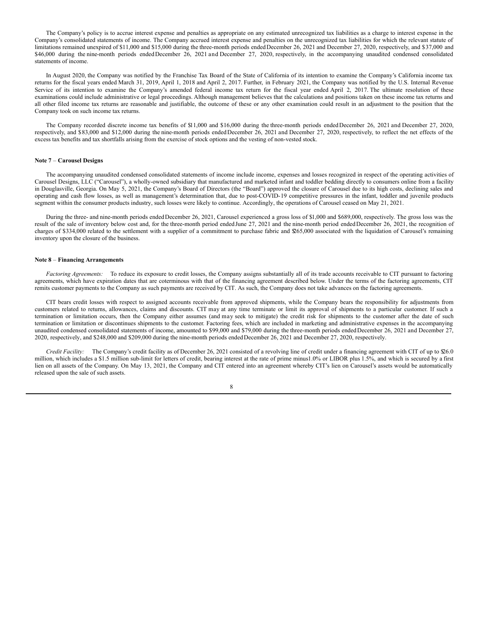The Company's policy is to accrue interest expense and penalties as appropriate on any estimated unrecognized tax liabilities as a charge to interest expense in the Company's consolidated statements of income. The Company accrued interest expense and penalties on the unrecognized tax liabilities for which the relevant statute of limitations remained unexpired of \$11,000 and \$15,000 during the three-month periods endedDecember 26, 2021 and December 27, 2020, respectively, and \$37,000 and \$46,000 during the nine-month periods endedDecember 26, 2021 and December 27, 2020, respectively, in the accompanying unaudited condensed consolidated statements of income.

In August 2020, the Company was notified by the Franchise Tax Board of the State of California of its intention to examine the Company's California income tax returns for the fiscal years ended March 31, 2019, April 1, 2018 and April 2, 2017. Further, in February 2021, the Company was notified by the U.S. Internal Revenue Service of its intention to examine the Company's amended federal income tax return for the fiscal year ended April 2, 2017. The ultimate resolution of these examinations could include administrative or legal proceedings. Although management believes that the calculations and positions taken on these income tax returns and all other filed income tax returns are reasonable and justifiable, the outcome of these or any other examination could result in an adjustment to the position that the Company took on such income tax returns.

The Company recorded discrete income tax benefits of \$11,000 and \$16,000 during the three-month periods endedDecember 26, 2021 and December 27, 2020, respectively, and \$83,000 and \$12,000 during the nine-month periods endedDecember 26, 2021 and December 27, 2020, respectively, to reflect the net effects of the excess tax benefits and tax shortfalls arising from the exercise of stock options and the vesting of non-vested stock.

## **Note 7** – **Carousel Designs**

The accompanying unaudited condensed consolidated statements of income include income, expenses and losses recognized in respect of the operating activities of Carousel Designs, LLC ("Carousel"), a wholly-owned subsidiary that manufactured and marketed infant and toddler bedding directly to consumers online from a facility in Douglasville, Georgia. On May 5, 2021, the Company's Board of Directors (the "Board") approved the closure of Carousel due to its high costs, declining sales and operating and cash flow losses, as well as management's determination that, due to post-COVID-19 competitive pressures in the infant, toddler and juvenile products segment within the consumer products industry, such losses were likely to continue. Accordingly, the operations of Carousel ceased on May 21, 2021.

During the three- and nine-month periods endedDecember 26, 2021, Carousel experienced a gross loss of \$1,000 and \$689,000, respectively. The gross loss was the result of the sale of inventory below cost and, for the three-month period ended June 27, 2021 and the nine-month period ended December 26, 2021, the recognition of charges of \$334,000 related to the settlement with a supplier of a commitment to purchase fabric and \$265,000 associated with the liquidation of Carousel's remaining inventory upon the closure of the business.

# **Note 8** – **Financing Arrangements**

*Factoring Agreements:* To reduce its exposure to credit losses, the Company assigns substantially all of its trade accounts receivable to CIT pursuant to factoring agreements, which have expiration dates that are coterminous with that of the financing agreement described below. Under the terms of the factoring agreements, CIT remits customer payments to the Company as such payments are received by CIT. As such, the Company does not take advances on the factoring agreements.

CIT bears credit losses with respect to assigned accounts receivable from approved shipments, while the Company bears the responsibility for adjustments from customers related to returns, allowances, claims and discounts. CIT may at any time terminate or limit its approval of shipments to a particular customer. If such a termination or limitation occurs, then the Company either assumes (and may seek to mitigate) the credit risk for shipments to the customer after the date of such termination or limitation or discontinues shipments to the customer. Factoring fees, which are included in marketing and administrative expenses in the accompanying unaudited condensed consolidated statements of income, amounted to \$99,000 and \$79,000 during the three-month periods endedDecember 26, 2021 and December 27, 2020, respectively, and \$248,000 and \$209,000 during the nine-month periods endedDecember 26, 2021 and December 27, 2020, respectively.

*Credit Facility:* The Company's credit facility as of December 26, 2021 consisted of a revolving line of credit under a financing agreement with CIT of up to \$26.0 million, which includes a \$1.5 million sub-limit for letters of credit, bearing interest at the rate of prime minus1.0% or LIBOR plus 1.5%, and which is secured by a first lien on all assets of the Company. On May 13, 2021, the Company and CIT entered into an agreement whereby CIT's lien on Carousel's assets would be automatically released upon the sale of such assets.

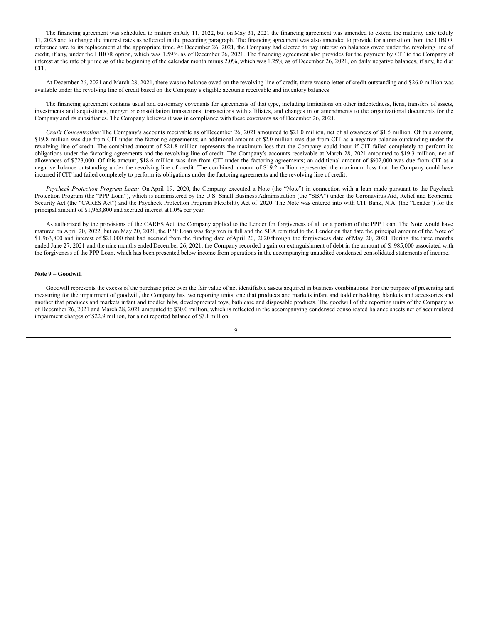The financing agreement was scheduled to mature onJuly 11, 2022, but on May 31, 2021 the financing agreement was amended to extend the maturity date toJuly 11, 2025 and to change the interest rates as reflected in the preceding paragraph. The financing agreement was also amended to provide for a transition from the LIBOR reference rate to its replacement at the appropriate time. At December 26, 2021, the Company had elected to pay interest on balances owed under the revolving line of credit, if any, under the LIBOR option, which was 1.59% as of December 26, 2021. The financing agreement also provides for the payment by CIT to the Company of interest at the rate of prime as of the beginning of the calendar month minus 2.0%, which was 1.25% as of December 26, 2021, on daily negative balances, if any, held at CIT.

At December 26, 2021 and March 28, 2021, there was no balance owed on the revolving line of credit, there wasno letter of credit outstanding and \$26.0 million was available under the revolving line of credit based on the Company's eligible accounts receivable and inventory balances.

The financing agreement contains usual and customary covenants for agreements of that type, including limitations on other indebtedness, liens, transfers of assets, investments and acquisitions, merger or consolidation transactions, transactions with affiliates, and changes in or amendments to the organizational documents for the Company and its subsidiaries. The Company believes it was in compliance with these covenants as of December 26, 2021.

*Credit Concentration:* The Company's accounts receivable as of December 26, 2021 amounted to \$21.0 million, net of allowances of \$1.5 million. Of this amount, \$19.8 million was due from CIT under the factoring agreements; an additional amount of \$2.0 million was due from CIT as a negative balance outstanding under the revolving line of credit. The combined amount of \$21.8 million represents the maximum loss that the Company could incur if CIT failed completely to perform its obligations under the factoring agreements and the revolving line of credit. The Company's accounts receivable at March 28, 2021 amounted to \$19.3 million, net of allowances of \$723,000. Of this amount, \$18.6 million was due from CIT under the factoring agreements; an additional amount of \$602,000 was due from CIT as a negative balance outstanding under the revolving line of credit. The combined amount of \$19.2 million represented the maximum loss that the Company could have incurred if CIT had failed completely to perform its obligations under the factoring agreements and the revolving line of credit.

*Paycheck Protection Program Loan:* On April 19, 2020, the Company executed a Note (the "Note") in connection with a loan made pursuant to the Paycheck Protection Program (the "PPP Loan"), which is administered by the U.S. Small Business Administration (the "SBA") under the Coronavirus Aid, Relief and Economic Security Act (the "CARES Act") and the Paycheck Protection Program Flexibility Act of 2020. The Note was entered into with CIT Bank, N.A. (the "Lender") for the principal amount of \$1,963,800 and accrued interest at1.0% per year.

As authorized by the provisions of the CARES Act, the Company applied to the Lender for forgiveness of all or a portion of the PPP Loan. The Note would have matured on April 20, 2022, but on May 20, 2021, the PPP Loan was forgiven in full and the SBA remitted to the Lender on that date the principal amount of the Note of \$1,963,800 and interest of \$21,000 that had accrued from the funding date ofApril 20, 2020 through the forgiveness date of May 20, 2021. During the three months ended June 27, 2021 and the nine months ended December 26, 2021, the Company recorded a gain on extinguishment of debt in the amount of \$1,985,000 associated with the forgiveness of the PPP Loan, which has been presented below income from operations in the accompanying unaudited condensed consolidated statements of income.

#### **Note 9** – **Goodwill**

Goodwill represents the excess of the purchase price over the fair value of net identifiable assets acquired in business combinations. For the purpose of presenting and measuring for the impairment of goodwill, the Company has two reporting units: one that produces and markets infant and toddler bedding, blankets and accessories and another that produces and markets infant and toddler bibs, developmental toys, bath care and disposable products. The goodwill of the reporting units of the Company as of December 26, 2021 and March 28, 2021 amounted to \$30.0 million, which is reflected in the accompanying condensed consolidated balance sheets net of accumulated impairment charges of \$22.9 million, for a net reported balance of \$7.1 million.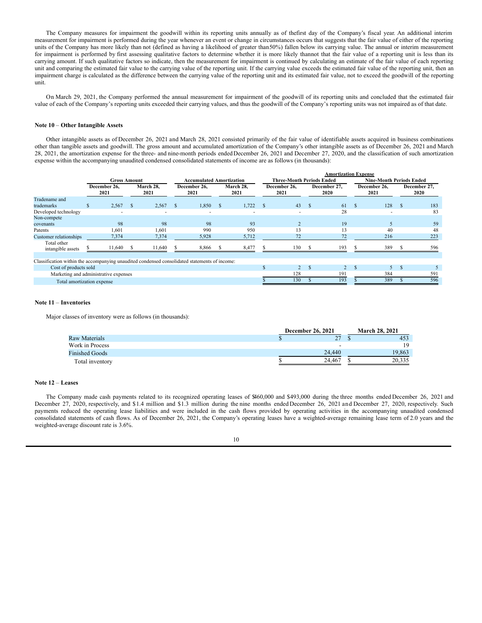The Company measures for impairment the goodwill within its reporting units annually as of thefirst day of the Company's fiscal year. An additional interim measurement for impairment is performed during the year whenever an event or change in circumstances occurs that suggests that the fair value of either of the reporting units of the Company has more likely than not (defined as having a likelihood of greater than50%) fallen below its carrying value. The annual or interim measurement for impairment is performed by first assessing qualitative factors to determine whether it is more likely thannot that the fair value of a reporting unit is less than its carrying amount. If such qualitative factors so indicate, then the measurement for impairment is continued by calculating an estimate of the fair value of each reporting unit and comparing the estimated fair value to the carrying value of the reporting unit. If the carrying value exceeds the estimated fair value of the reporting unit, then an impairment charge is calculated as the difference between the carrying value of the reporting unit and its estimated fair value, not to exceed the goodwill of the reporting unit.

On March 29, 2021, the Company performed the annual measurement for impairment of the goodwill of its reporting units and concluded that the estimated fair value of each of the Company's reporting units exceeded their carrying values, and thus the goodwill of the Company's reporting units was not impaired as of that date.

# **Note 10** – **Other Intangible Assets**

Other intangible assets as of December 26, 2021 and March 28, 2021 consisted primarily of the fair value of identifiable assets acquired in business combinations other than tangible assets and goodwill. The gross amount and accumulated amortization of the Company's other intangible assets as of December 26, 2021 and March 28, 2021, the amortization expense for the three- and nine-month periods endedDecember 26, 2021 and December 27, 2020, and the classification of such amortization expense within the accompanying unaudited condensed consolidated statements of income are as follows (in thousands):

|                                                                                               |                           |                     |               |                           |              |                                 |               |                          | <b>Amortization Expense</b>      |                          |               |              |                                 |                          |               |      |
|-----------------------------------------------------------------------------------------------|---------------------------|---------------------|---------------|---------------------------|--------------|---------------------------------|---------------|--------------------------|----------------------------------|--------------------------|---------------|--------------|---------------------------------|--------------------------|---------------|------|
|                                                                                               |                           | <b>Gross Amount</b> |               |                           |              | <b>Accumulated Amortization</b> |               |                          | <b>Three-Month Periods Ended</b> |                          |               |              | <b>Nine-Month Periods Ended</b> |                          |               |      |
|                                                                                               | March 28.<br>December 26. |                     |               | March 28.<br>December 26. |              | December 26.                    |               | December 27.             |                                  | December 26,             |               | December 27, |                                 |                          |               |      |
|                                                                                               |                           | 2021                |               | 2021                      |              | 2021                            |               | 2021                     |                                  | 2021                     |               | 2020         |                                 | 2021                     |               | 2020 |
| Tradename and                                                                                 |                           |                     |               |                           |              |                                 |               |                          |                                  |                          |               |              |                                 |                          |               |      |
| trademarks                                                                                    | ς                         | 2,567               | <sup>\$</sup> | 2,567                     | <sup>S</sup> | 1,850                           | <sup>\$</sup> | 1,722                    | <b>S</b>                         | 43                       | <sup>\$</sup> | 61           | <sup>S</sup>                    | 128                      | <sup>S</sup>  | 183  |
| Developed technology                                                                          |                           | ۰                   |               | $\overline{\phantom{a}}$  |              | $\sim$                          |               | $\overline{\phantom{a}}$ |                                  | $\overline{\phantom{a}}$ |               | 28           |                                 | $\overline{\phantom{a}}$ |               | 83   |
| Non-compete                                                                                   |                           |                     |               |                           |              |                                 |               |                          |                                  |                          |               |              |                                 |                          |               |      |
| covenants                                                                                     |                           | 98                  |               | 98                        |              | 98                              |               | 93                       |                                  |                          |               | 19           |                                 | $\overline{\mathcal{L}}$ |               | 59   |
| Patents                                                                                       |                           | 1.601               |               | 1,601                     |              | 990                             |               | 950                      |                                  | 13                       |               | 13           |                                 | 40                       |               | 48   |
| Customer relationships                                                                        |                           | 7,374               |               | 7,374                     |              | 5,928                           |               | 5,712                    |                                  | 72                       |               | 72           |                                 | 216                      |               | 223  |
| Total other<br>intangible assets                                                              |                           | 11,640              |               | 11,640                    |              | 8,866                           |               | 8,477                    |                                  | 130                      |               | 193          |                                 | 389                      |               | 596  |
|                                                                                               |                           |                     |               |                           |              |                                 |               |                          |                                  |                          |               |              |                                 |                          |               |      |
| Classification within the accompanying unaudited condensed consolidated statements of income: |                           |                     |               |                           |              |                                 |               |                          |                                  |                          |               |              |                                 |                          |               |      |
| Cost of products sold                                                                         |                           |                     |               |                           |              |                                 |               |                          |                                  | $\overline{2}$           | $\mathcal{S}$ |              |                                 | $\mathcal{F}$            | $\mathcal{S}$ |      |
| Marketing and administrative expenses                                                         |                           |                     |               |                           |              |                                 |               |                          |                                  | 128                      |               | 191          |                                 | 384                      |               | 591  |
| Total amortization expense                                                                    |                           |                     |               |                           |              |                                 |               |                          |                                  | 130                      |               | 193          |                                 | 389                      |               | 596  |

#### **Note 11** – **Inventories**

Major classes of inventory were as follows (in thousands):

|                       | <b>December 26, 2021</b> | <b>March 28, 2021</b> |
|-----------------------|--------------------------|-----------------------|
| Raw Materials         | 27                       | 453                   |
| Work in Process       | -                        | 19                    |
| <b>Finished Goods</b> | 24,440                   | 19.863                |
| Total inventory       | 24,467                   | 20.335                |

# **Note 12** – **Leases**

The Company made cash payments related to its recognized operating leases of \$460,000 and \$493,000 during the three months ended December 26, 2021 and December 27, 2020, respectively, and \$1.4 million and \$1.3 million during the nine months ended December 26, 2021 and December 27, 2020, respectively. Such payments reduced the operating lease liabilities and were included in the cash flows provided by operating activities in the accompanying unaudited condensed consolidated statements of cash flows. As of December 26, 2021, the Company's operating leases have a weighted-average remaining lease term of 2.0 years and the weighted-average discount rate is 3.6%.

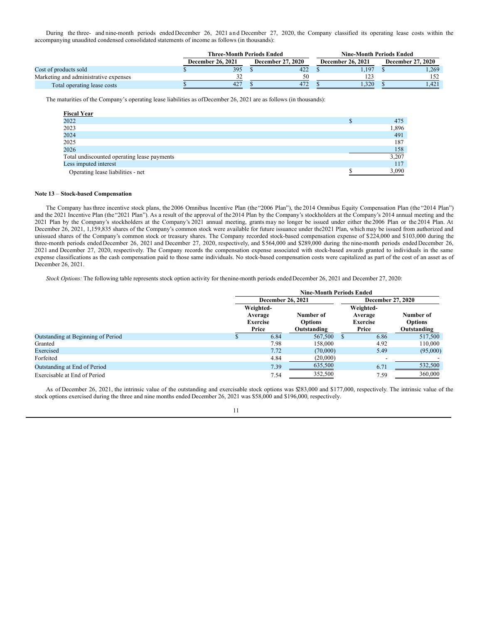During the three- and nine-month periods endedDecember 26, 2021 and December 27, 2020, the Company classified its operating lease costs within the accompanying unaudited condensed consolidated statements of income as follows (in thousands):

|                                       | <b>Three-Month Periods Ended</b> |  | <b>Nine-Month Periods Ended</b> |  |                   |                   |       |  |
|---------------------------------------|----------------------------------|--|---------------------------------|--|-------------------|-------------------|-------|--|
|                                       | December 26, 2021                |  | December 27, 2020               |  | December 26, 2021 | December 27, 2020 |       |  |
| Cost of products sold                 | 395                              |  | 422                             |  | .197              |                   | .,269 |  |
| Marketing and administrative expenses |                                  |  | 50                              |  |                   |                   |       |  |
| Total operating lease costs           | 42'                              |  | 472                             |  | .320              |                   | 1.421 |  |

The maturities of the Company's operating lease liabilities as ofDecember 26, 2021 are as follows (in thousands):

| <b>Fiscal Year</b>                          |       |
|---------------------------------------------|-------|
| 2022                                        | 475   |
| 2023                                        | 1,896 |
| 2024                                        | 491   |
| 2025                                        | 187   |
| 2026                                        | 158   |
| Total undiscounted operating lease payments | 3,207 |
| Less imputed interest                       | 117   |
| Operating lease liabilities - net           | 3,090 |

# **Note 13** – **Stock-based Compensation**

The Company hasthree incentive stock plans, the 2006 Omnibus Incentive Plan (the "2006 Plan"), the 2014 Omnibus Equity Compensation Plan (the "2014 Plan") and the 2021 Incentive Plan (the "2021 Plan"). As a result of the approval of the2014 Plan by the Company's stockholders at the Company's 2014 annual meeting and the 2021 Plan by the Company's stockholders at the Company's 2021 annual meeting, grants may no longer be issued under either the2006 Plan or the 2014 Plan. At December 26, 2021, 1,159,835 shares of the Company's common stock were available for future issuance under the2021 Plan, which may be issued from authorized and unissued shares of the Company's common stock or treasury shares. The Company recorded stock-based compensation expense of \$224,000 and \$103,000 during the three-month periods endedDecember 26, 2021 and December 27, 2020, respectively, and \$564,000 and \$289,000 during the nine-month periods endedDecember 26, 2021 and December 27, 2020, respectively. The Company records the compensation expense associated with stock-based awards granted to individuals in the same expense classifications as the cash compensation paid to those same individuals. No stock-based compensation costs were capitalized as part of the cost of an asset as of December 26, 2021.

*Stock Options:* The following table represents stock option activity for thenine-month periods ended December 26, 2021 and December 27, 2020:

|                                    | <b>Nine-Month Periods Ended</b>                  |                                            |  |                                                  |                                            |  |  |  |  |  |
|------------------------------------|--------------------------------------------------|--------------------------------------------|--|--------------------------------------------------|--------------------------------------------|--|--|--|--|--|
|                                    | <b>December 26, 2021</b>                         |                                            |  | <b>December 27, 2020</b>                         |                                            |  |  |  |  |  |
|                                    | Weighted-<br>Average<br><b>Exercise</b><br>Price | Number of<br><b>Options</b><br>Outstanding |  | Weighted-<br>Average<br><b>Exercise</b><br>Price | Number of<br><b>Options</b><br>Outstanding |  |  |  |  |  |
| Outstanding at Beginning of Period | 6.84                                             | 567,500                                    |  | 6.86                                             | 517,500                                    |  |  |  |  |  |
| Granted                            | 7.98                                             | 158,000                                    |  | 4.92                                             | 110,000                                    |  |  |  |  |  |
| Exercised                          | 7.72                                             | (70,000)                                   |  | 5.49                                             | (95,000)                                   |  |  |  |  |  |
| Forfeited                          | 4.84                                             | (20,000)                                   |  |                                                  |                                            |  |  |  |  |  |
| Outstanding at End of Period       | 7.39                                             | 635,500                                    |  | 6.71                                             | 532,500                                    |  |  |  |  |  |
| Exercisable at End of Period       | 7.54                                             | 352,500                                    |  | 7.59                                             | 360,000                                    |  |  |  |  |  |

As of December 26, 2021, the intrinsic value of the outstanding and exercisable stock options was \$283,000 and \$177,000, respectively. The intrinsic value of the stock options exercised during the three and nine months ended December 26, 2021 was \$58,000 and \$196,000, respectively.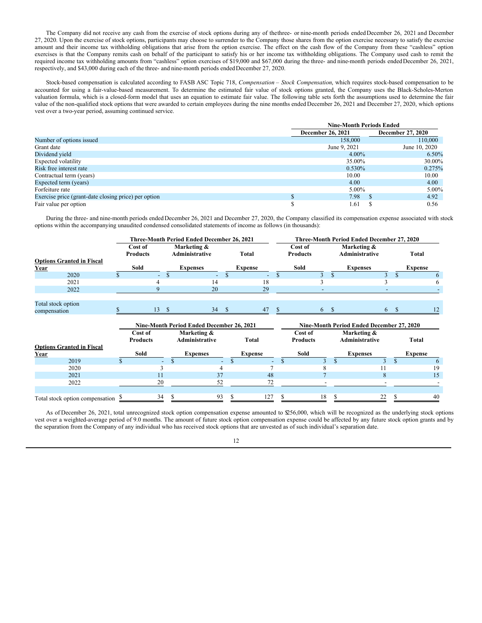The Company did not receive any cash from the exercise of stock options during any of thethree- or nine-month periods endedDecember 26, 2021 and December 27, 2020. Upon the exercise of stock options, participants may choose to surrender to the Company those shares from the option exercise necessary to satisfy the exercise amount and their income tax withholding obligations that arise from the option exercise. The effect on the cash flow of the Company from these "cashless" option exercises is that the Company remits cash on behalf of the participant to satisfy his or her income tax withholding obligations. The Company used cash to remit the required income tax withholding amounts from "cashless" option exercises of \$19,000 and \$67,000 during the three- and nine-month periods endedDecember 26, 2021, respectively, and \$43,000 during each of the three- and nine-month periods endedDecember 27, 2020.

Stock-based compensation is calculated according to FASB ASC Topic 718, *Compensation* – *Stock Compensation*, which requires stock-based compensation to be accounted for using a fair-value-based measurement. To determine the estimated fair value of stock options granted, the Company uses the Black-Scholes-Merton valuation formula, which is a closed-form model that uses an equation to estimate fair value. The following table sets forth the assumptions used to determine the fair value of the non-qualified stock options that were awarded to certain employees during the nine months ended December 26, 2021 and December 27, 2020, which options vest over a two-year period, assuming continued service.

|                                                      | <b>Nine-Month Periods Ended</b> |                          |  |  |  |  |  |
|------------------------------------------------------|---------------------------------|--------------------------|--|--|--|--|--|
|                                                      | December 26, 2021               | <b>December 27, 2020</b> |  |  |  |  |  |
| Number of options issued                             | 158,000                         | 110,000                  |  |  |  |  |  |
| Grant date                                           | June 9, 2021                    | June 10, 2020            |  |  |  |  |  |
| Dividend yield                                       | $4.00\%$                        | 6.50%                    |  |  |  |  |  |
| Expected volatility                                  | 35.00%                          | 30.00%                   |  |  |  |  |  |
| Risk free interest rate                              | $0.530\%$                       | 0.275%                   |  |  |  |  |  |
| Contractual term (years)                             | 10.00                           | 10.00                    |  |  |  |  |  |
| Expected term (years)                                | 4.00                            | 4.00                     |  |  |  |  |  |
| Forfeiture rate                                      | 5.00%                           | 5.00%                    |  |  |  |  |  |
| Exercise price (grant-date closing price) per option | 7.98                            | 4.92                     |  |  |  |  |  |
| Fair value per option                                | 1.61                            | 0.56                     |  |  |  |  |  |

During the three- and nine-month periods ended December 26, 2021 and December 27, 2020, the Company classified its compensation expense associated with stock options within the accompanying unaudited condensed consolidated statements of income as follows (in thousands):

|                                          |                            | Three-Month Period Ended December 26, 2021 |                                      | Three-Month Period Ended December 27, 2020 |                          |                                           |  |                               |  |                |  |
|------------------------------------------|----------------------------|--------------------------------------------|--------------------------------------|--------------------------------------------|--------------------------|-------------------------------------------|--|-------------------------------|--|----------------|--|
|                                          | Cost of<br><b>Products</b> |                                            | Marketing &<br>Administrative        |                                            | Total                    | Cost of<br><b>Products</b>                |  | Marketing &<br>Administrative |  | Total          |  |
| <b>Options Granted in Fiscal</b><br>Year | Sold                       |                                            | <b>Expenses</b>                      |                                            | <b>Expense</b>           | Sold                                      |  | <b>Expenses</b>               |  | <b>Expense</b> |  |
| 2020                                     | $\sim$                     |                                            | $\overline{\phantom{0}}$             |                                            | $\overline{\phantom{a}}$ | 3                                         |  | 3                             |  | $\sigma$       |  |
| 2021                                     | 4                          |                                            | 14                                   |                                            | 18                       |                                           |  |                               |  | 6              |  |
| 2022                                     |                            |                                            | 20                                   |                                            | 29                       |                                           |  |                               |  |                |  |
| Total stock option<br>compensation       | 13                         |                                            | 34S                                  |                                            | 47                       | 6                                         |  | 6                             |  |                |  |
|                                          |                            | Nine-Month Period Ended December 26, 2021  |                                      |                                            |                          | Nine-Month Period Ended December 27, 2020 |  |                               |  |                |  |
|                                          | Cost of<br><b>Products</b> |                                            | Marketing &<br><b>Administrative</b> |                                            | Total                    | Cost of<br><b>Products</b>                |  | Marketing &<br>Administrative |  | Total          |  |

|                                  | Products |                          | <b>Administrative</b>    | Fotal                    | Products | Administrative  | Total   |
|----------------------------------|----------|--------------------------|--------------------------|--------------------------|----------|-----------------|---------|
| <b>Options Granted in Fiscal</b> |          |                          |                          |                          |          |                 |         |
| Year                             | Sold     |                          | <b>Expenses</b>          | <b>Expense</b>           | Sold     | <b>Expenses</b> | Expense |
| 2019                             |          | $\overline{\phantom{0}}$ | $\overline{\phantom{0}}$ | $\overline{\phantom{0}}$ |          |                 |         |
| 2020                             |          |                          |                          |                          |          |                 |         |
| 2021                             |          |                          |                          | 48                       |          |                 |         |
| 2022                             |          | 20                       |                          |                          |          |                 |         |
|                                  |          |                          |                          |                          |          |                 |         |
| Total stock option compensation  |          | 34                       | 93                       | 127                      | 18       | 22<br>∸         | 40      |

As of December 26, 2021, total unrecognized stock option compensation expense amounted to \$256,000, which will be recognized as the underlying stock options vest over a weighted-average period of 9.0 months. The amount of future stock option compensation expense could be affected by any future stock option grants and by the separation from the Company of any individual who has received stock options that are unvested as of such individual's separation date.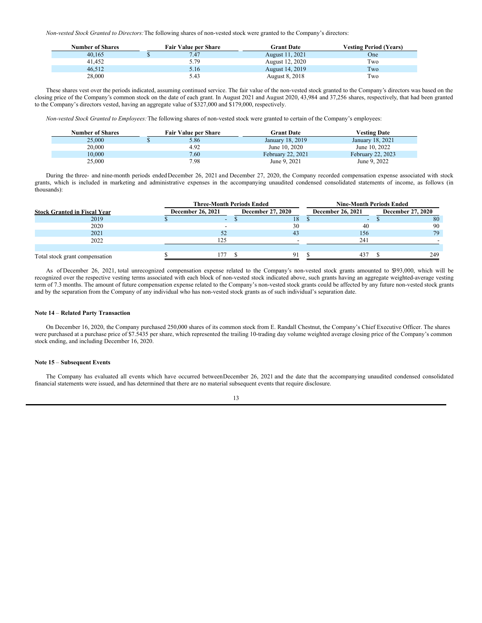*Non-vested Stock Granted to Directors:*The following shares of non-vested stock were granted to the Company's directors:

| <b>Number of Shares</b> | <b>Fair Value per Share</b> | <b>Grant Date</b> | <b>Vesting Period (Years)</b> |
|-------------------------|-----------------------------|-------------------|-------------------------------|
| 40.165                  | 7.47                        | August 11, 2021   | One                           |
| 41.452                  | 5.79                        | August 12, 2020   | Two                           |
| 46.512                  | 5.16                        | August 14, 2019   | Two                           |
| 28,000                  | 5.43                        | August 8, 2018    | Two                           |

These shares vest over the periods indicated, assuming continued service. The fair value of the non-vested stock granted to the Company's directors was based on the closing price of the Company's common stock on the date of each grant. In August 2021 and August 2020, 43,984 and 37,256 shares, respectively, that had been granted to the Company's directors vested, having an aggregate value of \$327,000 and \$179,000, respectively.

*Non-vested Stock Granted to Employees:*The following shares of non-vested stock were granted to certain of the Company's employees:

| <b>Number of Shares</b> | <b>Fair Value per Share</b> | <b>Grant Date</b> | <b>Vesting Date</b> |
|-------------------------|-----------------------------|-------------------|---------------------|
| 25,000                  | 5.86                        | January 18, 2019  | January 18, 2021    |
| 20.000                  | 4.92                        | June 10, 2020     | June 10, 2022       |
| 10.000                  | 7.60                        | February 22, 2021 | February 22, 2023   |
| 25,000                  | 7.98                        | June 9, 2021      | June 9, 2022        |

During the three- and nine-month periods endedDecember 26, 2021 and December 27, 2020, the Company recorded compensation expense associated with stock grants, which is included in marketing and administrative expenses in the accompanying unaudited condensed consolidated statements of income, as follows (in thousands):

|                                     |                   | <b>Three-Month Periods Ended</b> | <b>Nine-Month Periods Ended</b> |                   |  |  |
|-------------------------------------|-------------------|----------------------------------|---------------------------------|-------------------|--|--|
| <b>Stock Granted in Fiscal Year</b> | December 26, 2021 | <b>December 27, 2020</b>         | December 26, 2021               | December 27, 2020 |  |  |
| 2019                                | -                 | 18                               |                                 | 80                |  |  |
| 2020                                |                   | 30                               | 40                              | 90                |  |  |
| 2021                                |                   | 43                               | 156                             | 79                |  |  |
| 2022                                | 125               |                                  | 241                             |                   |  |  |
|                                     |                   |                                  |                                 |                   |  |  |
| Total stock grant compensation      | 177               | Q 1                              | 437                             | 249               |  |  |

As of December 26, 2021, total unrecognized compensation expense related to the Company's non-vested stock grants amounted to \$393,000, which will be recognized over the respective vesting terms associated with each block of non-vested stock indicated above, such grants having an aggregate weighted-average vesting term of 7.3 months. The amount of future compensation expense related to the Company's non-vested stock grants could be affected by any future non-vested stock grants and by the separation from the Company of any individual who has non-vested stock grants as of such individual's separation date.

#### **Note 14** – **Related Party Transaction**

On December 16, 2020, the Company purchased 250,000 shares of its common stock from E. Randall Chestnut, the Company's Chief Executive Officer. The shares were purchased at a purchase price of \$7.5435 per share, which represented the trailing 10-trading day volume weighted average closing price of the Company's common stock ending, and including December 16, 2020.

# **Note 15** – **Subsequent Events**

The Company has evaluated all events which have occurred betweenDecember 26, 2021 and the date that the accompanying unaudited condensed consolidated financial statements were issued, and has determined that there are no material subsequent events that require disclosure.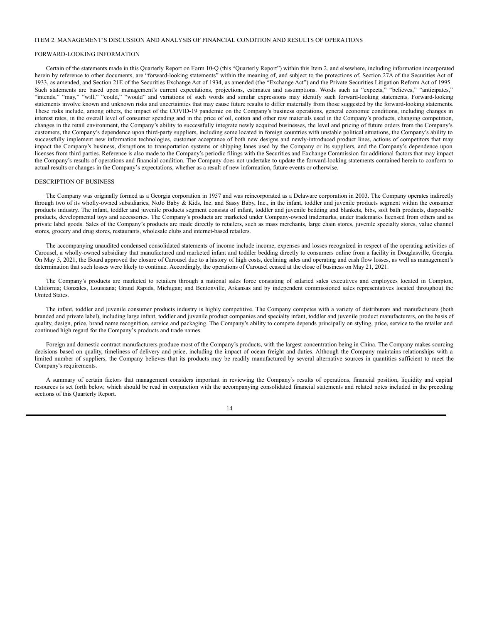#### ITEM 2. MANAGEMENT'S DISCUSSION AND ANALYSIS OF FINANCIAL CONDITION AND RESULTS OF OPERATIONS

#### FORWARD-LOOKING INFORMATION

Certain of the statements made in this Quarterly Report on Form 10-Q (this "Quarterly Report") within this Item 2. and elsewhere, including information incorporated herein by reference to other documents, are "forward-looking statements" within the meaning of, and subject to the protections of, Section 27A of the Securities Act of 1933, as amended, and Section 21E of the Securities Exchange Act of 1934, as amended (the "Exchange Act") and the Private Securities Litigation Reform Act of 1995. Such statements are based upon management's current expectations, projections, estimates and assumptions. Words such as "expects," "believes," "anticipates," "intends," "may," "will," "could," "would" and variations of such words and similar expressions may identify such forward-looking statements. Forward-looking statements involve known and unknown risks and uncertainties that may cause future results to differ materially from those suggested by the forward-looking statements. These risks include, among others, the impact of the COVID-19 pandemic on the Company's business operations, general economic conditions, including changes in interest rates, in the overall level of consumer spending and in the price of oil, cotton and other raw materials used in the Company's products, changing competition, changes in the retail environment, the Company's ability to successfully integrate newly acquired businesses, the level and pricing of future orders from the Company's customers, the Company's dependence upon third-party suppliers, including some located in foreign countries with unstable political situations, the Company's ability to successfully implement new information technologies, customer acceptance of both new designs and newly-introduced product lines, actions of competitors that may impact the Company's business, disruptions to transportation systems or shipping lanes used by the Company or its suppliers, and the Company's dependence upon licenses from third parties. Reference is also made to the Company's periodic filings with the Securities and Exchange Commission for additional factors that may impact the Company's results of operations and financial condition. The Company does not undertake to update the forward-looking statements contained herein to conform to actual results or changes in the Company's expectations, whether as a result of new information, future events or otherwise.

### DESCRIPTION OF BUSINESS

The Company was originally formed as a Georgia corporation in 1957 and was reincorporated as a Delaware corporation in 2003. The Company operates indirectly through two of its wholly-owned subsidiaries, NoJo Baby & Kids, Inc. and Sassy Baby, Inc., in the infant, toddler and juvenile products segment within the consumer products industry. The infant, toddler and juvenile products segment consists of infant, toddler and juvenile bedding and blankets, bibs, soft bath products, disposable products, developmental toys and accessories. The Company's products are marketed under Company-owned trademarks, under trademarks licensed from others and as private label goods. Sales of the Company's products are made directly to retailers, such as mass merchants, large chain stores, juvenile specialty stores, value channel stores, grocery and drug stores, restaurants, wholesale clubs and internet-based retailers.

The accompanying unaudited condensed consolidated statements of income include income, expenses and losses recognized in respect of the operating activities of Carousel, a wholly-owned subsidiary that manufactured and marketed infant and toddler bedding directly to consumers online from a facility in Douglasville, Georgia. On May 5, 2021, the Board approved the closure of Carousel due to a history of high costs, declining sales and operating and cash flow losses, as well as management's determination that such losses were likely to continue. Accordingly, the operations of Carousel ceased at the close of business on May 21, 2021.

The Company's products are marketed to retailers through a national sales force consisting of salaried sales executives and employees located in Compton, California; Gonzales, Louisiana; Grand Rapids, Michigan; and Bentonville, Arkansas and by independent commissioned sales representatives located throughout the United States.

The infant, toddler and juvenile consumer products industry is highly competitive. The Company competes with a variety of distributors and manufacturers (both branded and private label), including large infant, toddler and juvenile product companies and specialty infant, toddler and juvenile product manufacturers, on the basis of quality, design, price, brand name recognition, service and packaging. The Company's ability to compete depends principally on styling, price, service to the retailer and continued high regard for the Company's products and trade names.

Foreign and domestic contract manufacturers produce most of the Company's products, with the largest concentration being in China. The Company makes sourcing decisions based on quality, timeliness of delivery and price, including the impact of ocean freight and duties. Although the Company maintains relationships with a limited number of suppliers, the Company believes that its products may be readily manufactured by several alternative sources in quantities sufficient to meet the Company's requirements.

A summary of certain factors that management considers important in reviewing the Company's results of operations, financial position, liquidity and capital resources is set forth below, which should be read in conjunction with the accompanying consolidated financial statements and related notes included in the preceding sections of this Quarterly Report.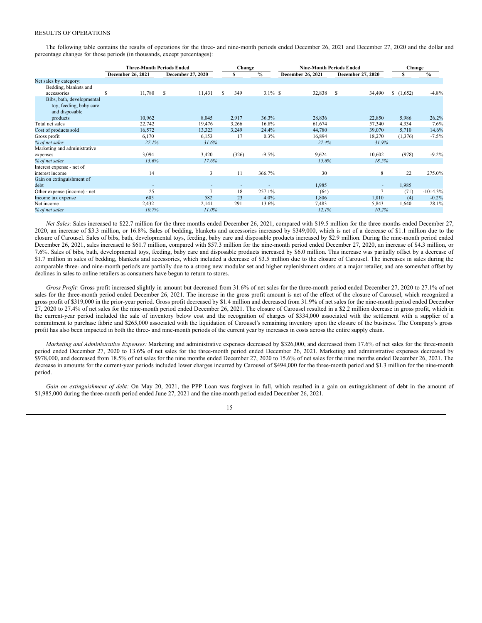### RESULTS OF OPERATIONS

The following table contains the results of operations for the three- and nine-month periods ended December 26, 2021 and December 27, 2020 and the dollar and percentage changes for those periods (in thousands, except percentages):

|                              | <b>Three-Month Periods Ended</b> |                   |   |                   |   |       | Change        | <b>Nine-Month Periods Ended</b> | Change |                   |         |                   |
|------------------------------|----------------------------------|-------------------|---|-------------------|---|-------|---------------|---------------------------------|--------|-------------------|---------|-------------------|
|                              |                                  | December 26, 2021 |   | December 27, 2020 |   | s     | $\frac{0}{0}$ | December 26, 2021               |        | December 27, 2020 |         | $\sqrt[6]{\cdot}$ |
| Net sales by category:       |                                  |                   |   |                   |   |       |               |                                 |        |                   |         |                   |
| Bedding, blankets and        |                                  |                   |   |                   |   |       |               |                                 |        |                   |         |                   |
| accessories                  | S                                | 11,780            | S | 11,431            | S | 349   | $3.1\%$ \$    | 32,838                          | -S     | 34,490            | (1,652) | $-4.8\%$          |
| Bibs, bath, developmental    |                                  |                   |   |                   |   |       |               |                                 |        |                   |         |                   |
| toy, feeding, baby care      |                                  |                   |   |                   |   |       |               |                                 |        |                   |         |                   |
| and disposable               |                                  |                   |   |                   |   |       |               |                                 |        |                   |         |                   |
| products                     |                                  | 10,962            |   | 8,045             |   | 2,917 | 36.3%         | 28,836                          |        | 22,850            | 5,986   | 26.2%             |
| Total net sales              |                                  | 22,742            |   | 19,476            |   | 3,266 | 16.8%         | 61,674                          |        | 57,340            | 4,334   | 7.6%              |
| Cost of products sold        |                                  | 16,572            |   | 13,323            |   | 3,249 | 24.4%         | 44,780                          |        | 39,070            | 5,710   | 14.6%             |
| Gross profit                 |                                  | 6,170             |   | 6,153             |   | 17    | $0.3\%$       | 16,894                          |        | 18,270            | (1,376) | $-7.5%$           |
| % of net sales               |                                  | 27.1%             |   | 31.6%             |   |       |               | 27.4%                           |        | 31.9%             |         |                   |
| Marketing and administrative |                                  |                   |   |                   |   |       |               |                                 |        |                   |         |                   |
| expenses                     |                                  | 3,094             |   | 3,420             |   | (326) | $-9.5\%$      | 9,624                           |        | 10,602            | (978)   | $-9.2\%$          |
| % of net sales               |                                  | 13.6%             |   | 17.6%             |   |       |               | 15.6%                           |        | 18.5%             |         |                   |
| Interest expense - net of    |                                  |                   |   |                   |   |       |               |                                 |        |                   |         |                   |
| interest income              |                                  | 14                |   | 3                 |   | 11    | 366.7%        | 30                              |        | 8                 | 22      | 275.0%            |
| Gain on extinguishment of    |                                  |                   |   |                   |   |       |               |                                 |        |                   |         |                   |
| debt                         |                                  |                   |   |                   |   |       |               | 1,985                           |        |                   | 1,985   |                   |
| Other expense (income) - net |                                  | 25                |   | $\overline{7}$    |   | 18    | 257.1%        | (64)                            |        |                   | (71)    | $-1014.3%$        |
| Income tax expense           |                                  | 605               |   | 582               |   | 23    | $4.0\%$       | 1,806                           |        | 1,810             | (4)     | $-0.2%$           |
| Net income                   |                                  | 2,432             |   | 2,141             |   | 291   | 13.6%         | 7,483                           |        | 5,843             | 1,640   | 28.1%             |
| % of net sales               |                                  | 10.7%             |   | 11.0%             |   |       |               | 12.1%                           |        | 10.2%             |         |                   |

*Net Sales:* Sales increased to \$22.7 million for the three months ended December 26, 2021, compared with \$19.5 million for the three months ended December 27, 2020, an increase of \$3.3 million, or 16.8%. Sales of bedding, blankets and accessories increased by \$349,000, which is net of a decrease of \$1.1 million due to the closure of Carousel. Sales of bibs, bath, developmental toys, feeding, baby care and disposable products increased by \$2.9 million. During the nine-month period ended December 26, 2021, sales increased to \$61.7 million, compared with \$57.3 million for the nine-month period ended December 27, 2020, an increase of \$4.3 million, or 7.6%. Sales of bibs, bath, developmental toys, feeding, baby care and disposable products increased by \$6.0 million. This increase was partially offset by a decrease of \$1.7 million in sales of bedding, blankets and accessories, which included a decrease of \$3.5 million due to the closure of Carousel. The increases in sales during the comparable three- and nine-month periods are partially due to a strong new modular set and higher replenishment orders at a major retailer, and are somewhat offset by declines in sales to online retailers as consumers have begun to return to stores.

*Gross Profit:* Gross profit increased slightly in amount but decreased from 31.6% of net sales for the three-month period ended December 27, 2020 to 27.1% of net sales for the three-month period ended December 26, 2021. The increase in the gross profit amount is net of the effect of the closure of Carousel, which recognized a gross profit of \$319,000 in the prior-year period. Gross profit decreased by \$1.4 million and decreased from 31.9% of net sales for the nine-month period ended December 27, 2020 to 27.4% of net sales for the nine-month period ended December 26, 2021. The closure of Carousel resulted in a \$2.2 million decrease in gross profit, which in the current-year period included the sale of inventory below cost and the recognition of charges of \$334,000 associated with the settlement with a supplier of a commitment to purchase fabric and \$265,000 associated with the liquidation of Carousel's remaining inventory upon the closure of the business. The Company's gross profit has also been impacted in both the three- and nine-month periods of the current year by increases in costs across the entire supply chain.

*Marketing and Administrative Expenses:* Marketing and administrative expenses decreased by \$326,000, and decreased from 17.6% of net sales for the three-month period ended December 27, 2020 to 13.6% of net sales for the three-month period ended December 26, 2021. Marketing and administrative expenses decreased by \$978,000, and decreased from 18.5% of net sales for the nine months ended December 27, 2020 to 15.6% of net sales for the nine months ended December 26, 2021. The decrease in amounts for the current-year periods included lower charges incurred by Carousel of \$494,000 for the three-month period and \$1.3 million for the nine-month period.

*Gain on extinguishment of debt:* On May 20, 2021, the PPP Loan was forgiven in full, which resulted in a gain on extinguishment of debt in the amount of \$1,985,000 during the three-month period ended June 27, 2021 and the nine-month period ended December 26, 2021.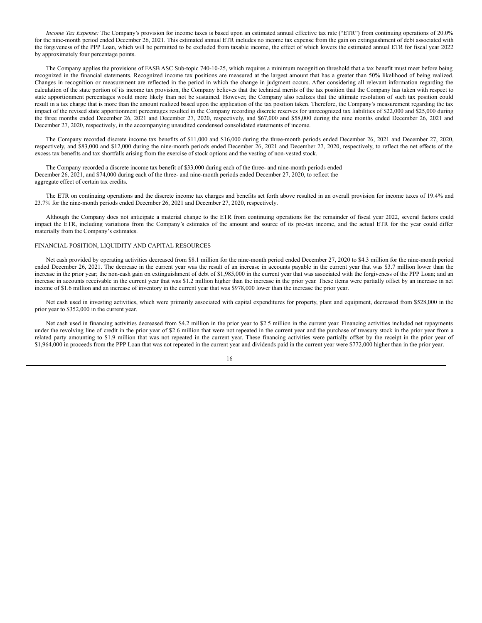*Income Tax Expense:* The Company's provision for income taxes is based upon an estimated annual effective tax rate ("ETR") from continuing operations of 20.0% for the nine-month period ended December 26, 2021. This estimated annual ETR includes no income tax expense from the gain on extinguishment of debt associated with the forgiveness of the PPP Loan, which will be permitted to be excluded from taxable income, the effect of which lowers the estimated annual ETR for fiscal year 2022 by approximately four percentage points.

The Company applies the provisions of FASB ASC Sub-topic 740-10-25, which requires a minimum recognition threshold that a tax benefit must meet before being recognized in the financial statements. Recognized income tax positions are measured at the largest amount that has a greater than 50% likelihood of being realized. Changes in recognition or measurement are reflected in the period in which the change in judgment occurs. After considering all relevant information regarding the calculation of the state portion of its income tax provision, the Company believes that the technical merits of the tax position that the Company has taken with respect to state apportionment percentages would more likely than not be sustained. However, the Company also realizes that the ultimate resolution of such tax position could result in a tax charge that is more than the amount realized based upon the application of the tax position taken. Therefore, the Company's measurement regarding the tax impact of the revised state apportionment percentages resulted in the Company recording discrete reserves for unrecognized tax liabilities of \$22,000 and \$25,000 during the three months ended December 26, 2021 and December 27, 2020, respectively, and \$67,000 and \$58,000 during the nine months ended December 26, 2021 and December 27, 2020, respectively, in the accompanying unaudited condensed consolidated statements of income.

The Company recorded discrete income tax benefits of \$11,000 and \$16,000 during the three-month periods ended December 26, 2021 and December 27, 2020, respectively, and \$83,000 and \$12,000 during the nine-month periods ended December 26, 2021 and December 27, 2020, respectively, to reflect the net effects of the excess tax benefits and tax shortfalls arising from the exercise of stock options and the vesting of non-vested stock.

The Company recorded a discrete income tax benefit of \$33,000 during each of the three- and nine-month periods ended December 26, 2021, and \$74,000 during each of the three- and nine-month periods ended December 27, 2020, to reflect the aggregate effect of certain tax credits.

The ETR on continuing operations and the discrete income tax charges and benefits set forth above resulted in an overall provision for income taxes of 19.4% and 23.7% for the nine-month periods ended December 26, 2021 and December 27, 2020, respectively.

Although the Company does not anticipate a material change to the ETR from continuing operations for the remainder of fiscal year 2022, several factors could impact the ETR, including variations from the Company's estimates of the amount and source of its pre-tax income, and the actual ETR for the year could differ materially from the Company's estimates.

# FINANCIAL POSITION, LIQUIDITY AND CAPITAL RESOURCES

Net cash provided by operating activities decreased from \$8.1 million for the nine-month period ended December 27, 2020 to \$4.3 million for the nine-month period ended December 26, 2021. The decrease in the current year was the result of an increase in accounts payable in the current year that was \$3.7 million lower than the increase in the prior year; the non-cash gain on extinguishment of debt of \$1,985,000 in the current year that was associated with the forgiveness of the PPP Loan; and an increase in accounts receivable in the current year that was \$1.2 million higher than the increase in the prior year. These items were partially offset by an increase in net income of \$1.6 million and an increase of inventory in the current year that was \$978,000 lower than the increase the prior year.

Net cash used in investing activities, which were primarily associated with capital expenditures for property, plant and equipment, decreased from \$528,000 in the prior year to \$352,000 in the current year.

Net cash used in financing activities decreased from \$4.2 million in the prior year to \$2.5 million in the current year. Financing activities included net repayments under the revolving line of credit in the prior year of \$2.6 million that were not repeated in the current year and the purchase of treasury stock in the prior year from a related party amounting to \$1.9 million that was not repeated in the current year. These financing activities were partially offset by the receipt in the prior year of \$1,964,000 in proceeds from the PPP Loan that was not repeated in the current year and dividends paid in the current year were \$772,000 higher than in the prior year.

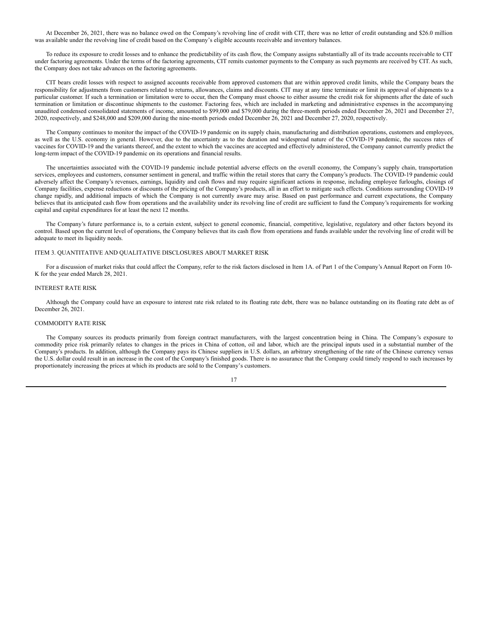At December 26, 2021, there was no balance owed on the Company's revolving line of credit with CIT, there was no letter of credit outstanding and \$26.0 million was available under the revolving line of credit based on the Company's eligible accounts receivable and inventory balances.

To reduce its exposure to credit losses and to enhance the predictability of its cash flow, the Company assigns substantially all of its trade accounts receivable to CIT under factoring agreements. Under the terms of the factoring agreements, CIT remits customer payments to the Company as such payments are received by CIT. As such, the Company does not take advances on the factoring agreements.

CIT bears credit losses with respect to assigned accounts receivable from approved customers that are within approved credit limits, while the Company bears the responsibility for adjustments from customers related to returns, allowances, claims and discounts. CIT may at any time terminate or limit its approval of shipments to a particular customer. If such a termination or limitation were to occur, then the Company must choose to either assume the credit risk for shipments after the date of such termination or limitation or discontinue shipments to the customer. Factoring fees, which are included in marketing and administrative expenses in the accompanying unaudited condensed consolidated statements of income, amounted to \$99,000 and \$79,000 during the three-month periods ended December 26, 2021 and December 27, 2020, respectively, and \$248,000 and \$209,000 during the nine-month periods ended December 26, 2021 and December 27, 2020, respectively.

The Company continues to monitor the impact of the COVID-19 pandemic on its supply chain, manufacturing and distribution operations, customers and employees, as well as the U.S. economy in general. However, due to the uncertainty as to the duration and widespread nature of the COVID-19 pandemic, the success rates of vaccines for COVID-19 and the variants thereof, and the extent to which the vaccines are accepted and effectively administered, the Company cannot currently predict the long-term impact of the COVID-19 pandemic on its operations and financial results.

The uncertainties associated with the COVID-19 pandemic include potential adverse effects on the overall economy, the Company's supply chain, transportation services, employees and customers, consumer sentiment in general, and traffic within the retail stores that carry the Company's products. The COVID-19 pandemic could adversely affect the Company's revenues, earnings, liquidity and cash flows and may require significant actions in response, including employee furloughs, closings of Company facilities, expense reductions or discounts of the pricing of the Company's products, all in an effort to mitigate such effects. Conditions surrounding COVID-19 change rapidly, and additional impacts of which the Company is not currently aware may arise. Based on past performance and current expectations, the Company believes that its anticipated cash flow from operations and the availability under its revolving line of credit are sufficient to fund the Company's requirements for working capital and capital expenditures for at least the next 12 months.

The Company's future performance is, to a certain extent, subject to general economic, financial, competitive, legislative, regulatory and other factors beyond its control. Based upon the current level of operations, the Company believes that its cash flow from operations and funds available under the revolving line of credit will be adequate to meet its liquidity needs.

#### ITEM 3. QUANTITATIVE AND QUALITATIVE DISCLOSURES ABOUT MARKET RISK

For a discussion of market risks that could affect the Company, refer to the risk factors disclosed in Item 1A. of Part 1 of the Company's Annual Report on Form 10- K for the year ended March 28, 2021.

#### INTEREST RATE RISK

Although the Company could have an exposure to interest rate risk related to its floating rate debt, there was no balance outstanding on its floating rate debt as of December 26, 2021.

### COMMODITY RATE RISK

The Company sources its products primarily from foreign contract manufacturers, with the largest concentration being in China. The Company's exposure to commodity price risk primarily relates to changes in the prices in China of cotton, oil and labor, which are the principal inputs used in a substantial number of the Company's products. In addition, although the Company pays its Chinese suppliers in U.S. dollars, an arbitrary strengthening of the rate of the Chinese currency versus the U.S. dollar could result in an increase in the cost of the Company's finished goods. There is no assurance that the Company could timely respond to such increases by proportionately increasing the prices at which its products are sold to the Company's customers.

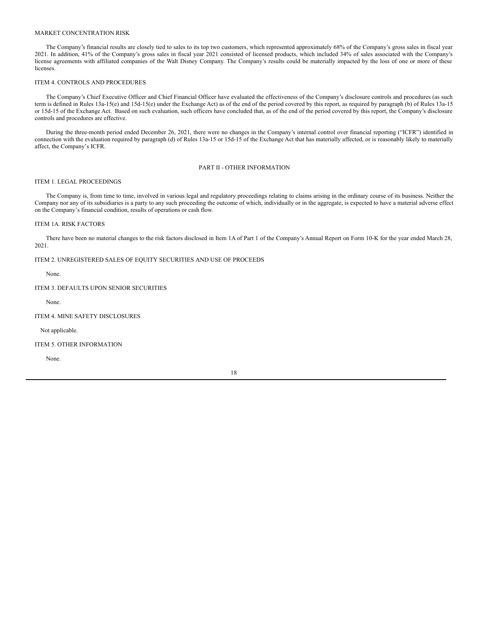### MARKET CONCENTRATION RISK

The Company's financial results are closely tied to sales to its top two customers, which represented approximately 68% of the Company's gross sales in fiscal year 2021. In addition, 41% of the Company's gross sales in fiscal year 2021 consisted of licensed products, which included 34% of sales associated with the Company's license agreements with affiliated companies of the Walt Disney Company. The Company's results could be materially impacted by the loss of one or more of these licenses.

# ITEM 4. CONTROLS AND PROCEDURES

The Company's Chief Executive Officer and Chief Financial Officer have evaluated the effectiveness of the Company's disclosure controls and procedures (as such term is defined in Rules 13a-15(e) and 15d-15(e) under the Exchange Act) as of the end of the period covered by this report, as required by paragraph (b) of Rules 13a-15 or 15d-15 of the Exchange Act. Based on such evaluation, such officers have concluded that, as of the end of the period covered by this report, the Company's disclosure controls and procedures are effective.

During the three-month period ended December 26, 2021, there were no changes in the Company's internal control over financial reporting ("ICFR") identified in connection with the evaluation required by paragraph (d) of Rules 13a-15 or 15d-15 of the Exchange Act that has materially affected, or is reasonably likely to materially affect, the Company's ICFR.

# PART II - OTHER INFORMATION

## ITEM 1. LEGAL PROCEEDINGS

The Company is, from time to time, involved in various legal and regulatory proceedings relating to claims arising in the ordinary course of its business. Neither the Company nor any of its subsidiaries is a party to any such proceeding the outcome of which, individually or in the aggregate, is expected to have a material adverse effect on the Company's financial condition, results of operations or cash flow.

# ITEM 1A. RISK FACTORS

There have been no material changes to the risk factors disclosed in Item 1A of Part 1 of the Company's Annual Report on Form 10-K for the year ended March 28, 2021.

ITEM 2. UNREGISTERED SALES OF EQUITY SECURITIES AND USE OF PROCEEDS

None.

#### ITEM 3. DEFAULTS UPON SENIOR SECURITIES

None.

ITEM 4. MINE SAFETY DISCLOSURES

Not applicable.

ITEM 5. OTHER INFORMATION

None.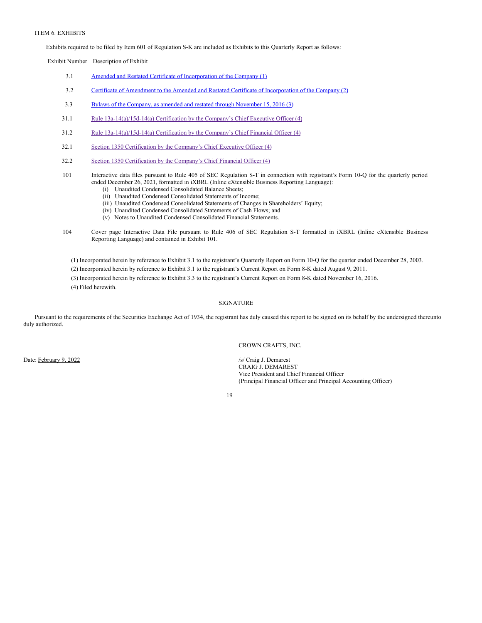## ITEM 6. EXHIBITS

Exhibits required to be filed by Item 601 of Regulation S-K are included as Exhibits to this Quarterly Report as follows:

Exhibit Number Description of Exhibit

- 3.1 Amended and Restated Certificate of [Incorporation](http://www.sec.gov/Archives/edgar/data/25895/000095013404001459/d12462exv3w1.txt) of the Company (1)
- 3.2 Certificate of Amendment to the Amended and Restated Certificate of [Incorporation](http://www.sec.gov/Archives/edgar/data/25895/000143774911005663/ex3-1.htm) of the Company (2)
- 3.3 Bylaws of the Company, as amended and restated through [November](http://www.sec.gov/Archives/edgar/data/25895/000143774916042220/ex3-3.htm) 15, 2016 (3)
- 31.1 Rule [13a-14\(a\)/15d-14\(a\)](#page-19-0) Certification by the Company's Chief Executive Officer (4)
- 31.2 Rule [13a-14\(a\)/15d-14\(a\)](#page-20-0) Certification by the Company's Chief Financial Officer (4)
- 32.1 Section 1350 [Certification](#page-21-0) by the Company's Chief Executive Officer (4)
- 32.2 Section 1350 [Certification](#page-22-0) by the Company's Chief Financial Officer (4)
- 101 Interactive data files pursuant to Rule 405 of SEC Regulation S-T in connection with registrant's Form 10-Q for the quarterly period ended December 26, 2021, formatted in iXBRL (Inline eXtensible Business Reporting Language):
	- (i) Unaudited Condensed Consolidated Balance Sheets;
	- (ii) Unaudited Condensed Consolidated Statements of Income;
	- (iii) Unaudited Condensed Consolidated Statements of Changes in Shareholders' Equity;
	- (iv) Unaudited Condensed Consolidated Statements of Cash Flows; and
	- (v) Notes to Unaudited Condensed Consolidated Financial Statements.
- 104 Cover page Interactive Data File pursuant to Rule 406 of SEC Regulation S-T formatted in iXBRL (Inline eXtensible Business Reporting Language) and contained in Exhibit 101.

(1) Incorporated herein by reference to Exhibit 3.1 to the registrant's Quarterly Report on Form 10-Q for the quarter ended December 28, 2003.

- (2) Incorporated herein by reference to Exhibit 3.1 to the registrant's Current Report on Form 8-K dated August 9, 2011.
- (3) Incorporated herein by reference to Exhibit 3.3 to the registrant's Current Report on Form 8-K dated November 16, 2016.
- (4) Filed herewith.

#### SIGNATURE

Pursuant to the requirements of the Securities Exchange Act of 1934, the registrant has duly caused this report to be signed on its behalf by the undersigned thereunto duly authorized.

CROWN CRAFTS, INC.

Date: February 9, 2022 /s/ Craig J. Demarest CRAIG J. DEMAREST Vice President and Chief Financial Officer (Principal Financial Officer and Principal Accounting Officer)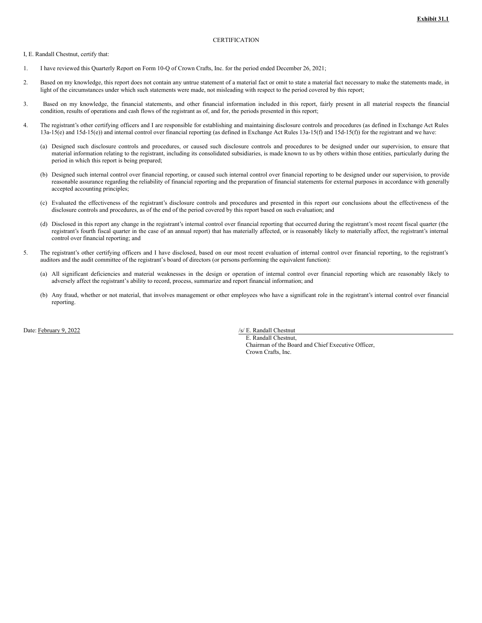# **CERTIFICATION**

#### <span id="page-19-0"></span>I, E. Randall Chestnut, certify that:

- 1. I have reviewed this Quarterly Report on Form 10-Q of Crown Crafts, Inc. for the period ended December 26, 2021;
- 2. Based on my knowledge, this report does not contain any untrue statement of a material fact or omit to state a material fact necessary to make the statements made, in light of the circumstances under which such statements were made, not misleading with respect to the period covered by this report;
- 3. Based on my knowledge, the financial statements, and other financial information included in this report, fairly present in all material respects the financial condition, results of operations and cash flows of the registrant as of, and for, the periods presented in this report;
- 4. The registrant's other certifying officers and I are responsible for establishing and maintaining disclosure controls and procedures (as defined in Exchange Act Rules 13a-15(e) and 15d-15(e)) and internal control over financial reporting (as defined in Exchange Act Rules 13a-15(f) and 15d-15(f)) for the registrant and we have:
	- (a) Designed such disclosure controls and procedures, or caused such disclosure controls and procedures to be designed under our supervision, to ensure that material information relating to the registrant, including its consolidated subsidiaries, is made known to us by others within those entities, particularly during the period in which this report is being prepared;
	- (b) Designed such internal control over financial reporting, or caused such internal control over financial reporting to be designed under our supervision, to provide reasonable assurance regarding the reliability of financial reporting and the preparation of financial statements for external purposes in accordance with generally accepted accounting principles;
	- (c) Evaluated the effectiveness of the registrant's disclosure controls and procedures and presented in this report our conclusions about the effectiveness of the disclosure controls and procedures, as of the end of the period covered by this report based on such evaluation; and
	- (d) Disclosed in this report any change in the registrant's internal control over financial reporting that occurred during the registrant's most recent fiscal quarter (the registrant's fourth fiscal quarter in the case of an annual report) that has materially affected, or is reasonably likely to materially affect, the registrant's internal control over financial reporting; and
- 5. The registrant's other certifying officers and I have disclosed, based on our most recent evaluation of internal control over financial reporting, to the registrant's auditors and the audit committee of the registrant's board of directors (or persons performing the equivalent function):
	- (a) All significant deficiencies and material weaknesses in the design or operation of internal control over financial reporting which are reasonably likely to adversely affect the registrant's ability to record, process, summarize and report financial information; and
	- (b) Any fraud, whether or not material, that involves management or other employees who have a significant role in the registrant's internal control over financial reporting.

Date: February 9, 2022 /s/ E. Randall Chestnut

E. Randall Chestnut, Chairman of the Board and Chief Executive Officer, Crown Crafts, Inc.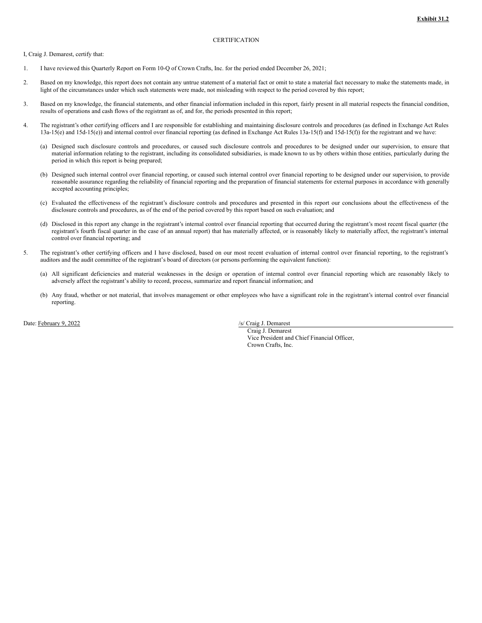# **CERTIFICATION**

<span id="page-20-0"></span>I, Craig J. Demarest, certify that:

- 1. I have reviewed this Quarterly Report on Form 10-Q of Crown Crafts, Inc. for the period ended December 26, 2021;
- 2. Based on my knowledge, this report does not contain any untrue statement of a material fact or omit to state a material fact necessary to make the statements made, in light of the circumstances under which such statements were made, not misleading with respect to the period covered by this report;
- 3. Based on my knowledge, the financial statements, and other financial information included in this report, fairly present in all material respects the financial condition, results of operations and cash flows of the registrant as of, and for, the periods presented in this report;
- 4. The registrant's other certifying officers and I are responsible for establishing and maintaining disclosure controls and procedures (as defined in Exchange Act Rules 13a-15(e) and 15d-15(e)) and internal control over financial reporting (as defined in Exchange Act Rules 13a-15(f) and 15d-15(f)) for the registrant and we have:
	- (a) Designed such disclosure controls and procedures, or caused such disclosure controls and procedures to be designed under our supervision, to ensure that material information relating to the registrant, including its consolidated subsidiaries, is made known to us by others within those entities, particularly during the period in which this report is being prepared;
	- (b) Designed such internal control over financial reporting, or caused such internal control over financial reporting to be designed under our supervision, to provide reasonable assurance regarding the reliability of financial reporting and the preparation of financial statements for external purposes in accordance with generally accepted accounting principles;
	- (c) Evaluated the effectiveness of the registrant's disclosure controls and procedures and presented in this report our conclusions about the effectiveness of the disclosure controls and procedures, as of the end of the period covered by this report based on such evaluation; and
	- (d) Disclosed in this report any change in the registrant's internal control over financial reporting that occurred during the registrant's most recent fiscal quarter (the registrant's fourth fiscal quarter in the case of an annual report) that has materially affected, or is reasonably likely to materially affect, the registrant's internal control over financial reporting; and
- 5. The registrant's other certifying officers and I have disclosed, based on our most recent evaluation of internal control over financial reporting, to the registrant's auditors and the audit committee of the registrant's board of directors (or persons performing the equivalent function):
	- (a) All significant deficiencies and material weaknesses in the design or operation of internal control over financial reporting which are reasonably likely to adversely affect the registrant's ability to record, process, summarize and report financial information; and
	- (b) Any fraud, whether or not material, that involves management or other employees who have a significant role in the registrant's internal control over financial reporting.

Date: February 9, 2022 /s/ Craig J. Demarest

Craig J. Demarest Vice President and Chief Financial Officer, Crown Crafts, Inc.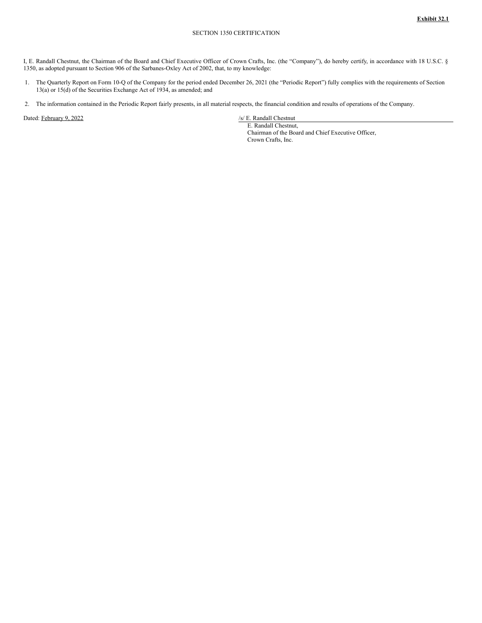<span id="page-21-0"></span>I, E. Randall Chestnut, the Chairman of the Board and Chief Executive Officer of Crown Crafts, Inc. (the "Company"), do hereby certify, in accordance with 18 U.S.C. § 1350, as adopted pursuant to Section 906 of the Sarbanes-Oxley Act of 2002, that, to my knowledge:

- 1. The Quarterly Report on Form 10-Q of the Company for the period ended December 26, 2021 (the "Periodic Report") fully complies with the requirements of Section 13(a) or 15(d) of the Securities Exchange Act of 1934, as amended; and
- 2. The information contained in the Periodic Report fairly presents, in all material respects, the financial condition and results of operations of the Company.

Dated: February 9, 2022 /s/ E. Randall Chestnut

E. Randall Chestnut, Chairman of the Board and Chief Executive Officer, Crown Crafts, Inc.